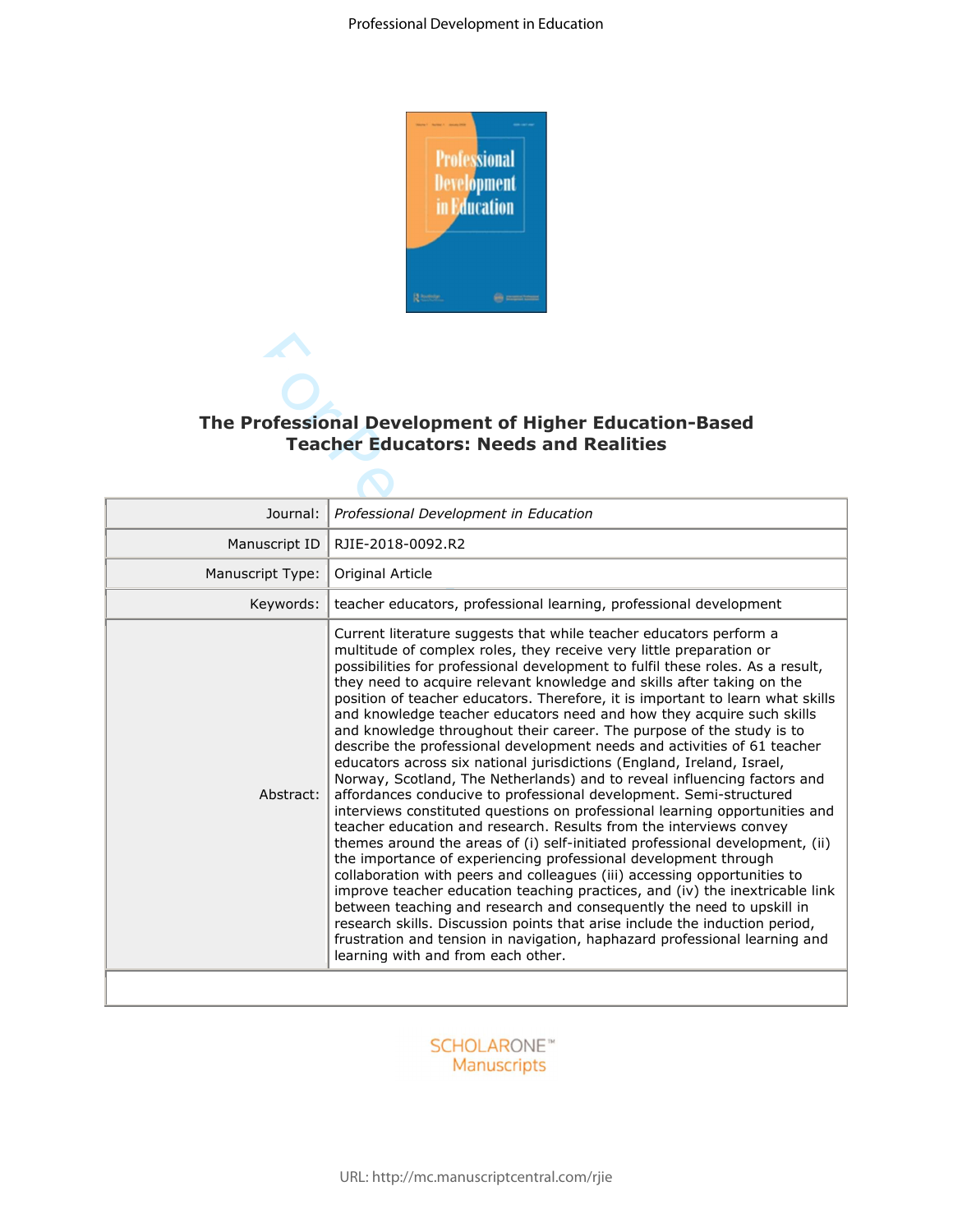

| The Professional Development of Higher Education-Based<br><b>Teacher Educators: Needs and Realities</b> |                                                                                                                                                                                                                                                                                                                                                                                                                                                                                                                                                                                                                                                                                                                                                                                                                                                                                                                                                                                                                                                                                                                                                                                                                                                                                                                                                                                                                                                                                                                                                                                                   |  |  |  |  |  |
|---------------------------------------------------------------------------------------------------------|---------------------------------------------------------------------------------------------------------------------------------------------------------------------------------------------------------------------------------------------------------------------------------------------------------------------------------------------------------------------------------------------------------------------------------------------------------------------------------------------------------------------------------------------------------------------------------------------------------------------------------------------------------------------------------------------------------------------------------------------------------------------------------------------------------------------------------------------------------------------------------------------------------------------------------------------------------------------------------------------------------------------------------------------------------------------------------------------------------------------------------------------------------------------------------------------------------------------------------------------------------------------------------------------------------------------------------------------------------------------------------------------------------------------------------------------------------------------------------------------------------------------------------------------------------------------------------------------------|--|--|--|--|--|
|                                                                                                         |                                                                                                                                                                                                                                                                                                                                                                                                                                                                                                                                                                                                                                                                                                                                                                                                                                                                                                                                                                                                                                                                                                                                                                                                                                                                                                                                                                                                                                                                                                                                                                                                   |  |  |  |  |  |
| Journal:                                                                                                | Professional Development in Education                                                                                                                                                                                                                                                                                                                                                                                                                                                                                                                                                                                                                                                                                                                                                                                                                                                                                                                                                                                                                                                                                                                                                                                                                                                                                                                                                                                                                                                                                                                                                             |  |  |  |  |  |
| Manuscript ID                                                                                           | RJIE-2018-0092.R2                                                                                                                                                                                                                                                                                                                                                                                                                                                                                                                                                                                                                                                                                                                                                                                                                                                                                                                                                                                                                                                                                                                                                                                                                                                                                                                                                                                                                                                                                                                                                                                 |  |  |  |  |  |
| Manuscript Type:                                                                                        | Original Article                                                                                                                                                                                                                                                                                                                                                                                                                                                                                                                                                                                                                                                                                                                                                                                                                                                                                                                                                                                                                                                                                                                                                                                                                                                                                                                                                                                                                                                                                                                                                                                  |  |  |  |  |  |
| Keywords:                                                                                               | teacher educators, professional learning, professional development                                                                                                                                                                                                                                                                                                                                                                                                                                                                                                                                                                                                                                                                                                                                                                                                                                                                                                                                                                                                                                                                                                                                                                                                                                                                                                                                                                                                                                                                                                                                |  |  |  |  |  |
| Abstract:                                                                                               | Current literature suggests that while teacher educators perform a<br>multitude of complex roles, they receive very little preparation or<br>possibilities for professional development to fulfil these roles. As a result,<br>they need to acquire relevant knowledge and skills after taking on the<br>position of teacher educators. Therefore, it is important to learn what skills<br>and knowledge teacher educators need and how they acquire such skills<br>and knowledge throughout their career. The purpose of the study is to<br>describe the professional development needs and activities of 61 teacher<br>educators across six national jurisdictions (England, Ireland, Israel,<br>Norway, Scotland, The Netherlands) and to reveal influencing factors and<br>affordances conducive to professional development. Semi-structured<br>interviews constituted questions on professional learning opportunities and<br>teacher education and research. Results from the interviews convey<br>themes around the areas of (i) self-initiated professional development, (ii)<br>the importance of experiencing professional development through<br>collaboration with peers and colleagues (iii) accessing opportunities to<br>improve teacher education teaching practices, and (iv) the inextricable link<br>between teaching and research and consequently the need to upskill in<br>research skills. Discussion points that arise include the induction period,<br>frustration and tension in navigation, haphazard professional learning and<br>learning with and from each other. |  |  |  |  |  |

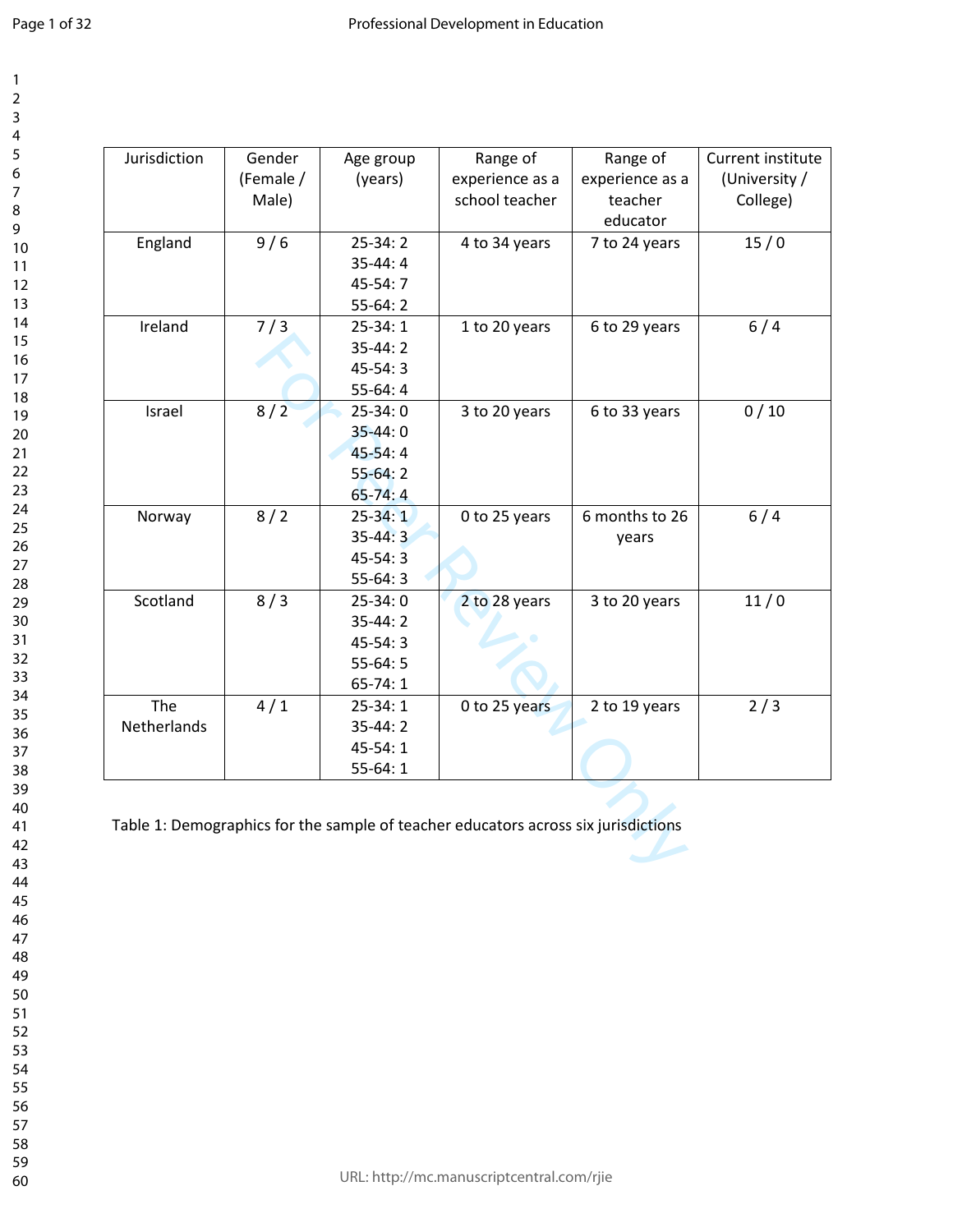| Jurisdiction | Gender    | Age group   | Range of                                                                           | Range of        | Current institute |
|--------------|-----------|-------------|------------------------------------------------------------------------------------|-----------------|-------------------|
|              | (Female / | (years)     | experience as a                                                                    | experience as a | (University /     |
|              | Male)     |             | school teacher                                                                     | teacher         | College)          |
|              |           |             |                                                                                    | educator        |                   |
| England      | 9/6       | $25-34:2$   | 4 to 34 years                                                                      | 7 to 24 years   | 15/0              |
|              |           | $35-44:4$   |                                                                                    |                 |                   |
|              |           | $45-54:7$   |                                                                                    |                 |                   |
|              |           | $55-64:2$   |                                                                                    |                 |                   |
| Ireland      | 7/3       | $25-34:1$   | 1 to 20 years                                                                      | 6 to 29 years   | 6/4               |
|              |           | $35-44:2$   |                                                                                    |                 |                   |
|              |           | $45-54:3$   |                                                                                    |                 |                   |
|              |           | $55-64:4$   |                                                                                    |                 |                   |
| Israel       | 8/2       | $25-34:0$   | 3 to 20 years                                                                      | 6 to 33 years   | 0/10              |
|              |           | $35 - 44:0$ |                                                                                    |                 |                   |
|              |           | $45-54:4$   |                                                                                    |                 |                   |
|              |           | $55-64:2$   |                                                                                    |                 |                   |
|              |           | $65 - 74:4$ |                                                                                    |                 |                   |
| Norway       | 8/2       | $25 - 34:1$ | 0 to 25 years                                                                      | 6 months to 26  | 6/4               |
|              |           | $35-44:3$   |                                                                                    | years           |                   |
|              |           | $45-54:3$   |                                                                                    |                 |                   |
|              |           | $55-64:3$   |                                                                                    |                 |                   |
| Scotland     | 8/3       | $25-34:0$   | 2 to 28 years                                                                      | 3 to 20 years   | 11/0              |
|              |           | $35-44:2$   |                                                                                    |                 |                   |
|              |           | $45-54:3$   |                                                                                    |                 |                   |
|              |           | $55-64:5$   |                                                                                    |                 |                   |
|              |           | $65-74:1$   |                                                                                    |                 |                   |
| The          | 4/1       | $25-34:1$   | 0 to 25 years                                                                      | 2 to 19 years   | 2/3               |
| Netherlands  |           | $35 - 44:2$ |                                                                                    |                 |                   |
|              |           | 45-54:1     |                                                                                    |                 |                   |
|              |           | $55-64:1$   |                                                                                    |                 |                   |
|              |           |             |                                                                                    |                 |                   |
|              |           |             |                                                                                    |                 |                   |
|              |           |             | Table 1: Demographics for the sample of teacher educators across six jurisdictions |                 |                   |
|              |           |             |                                                                                    |                 |                   |
|              |           |             |                                                                                    |                 |                   |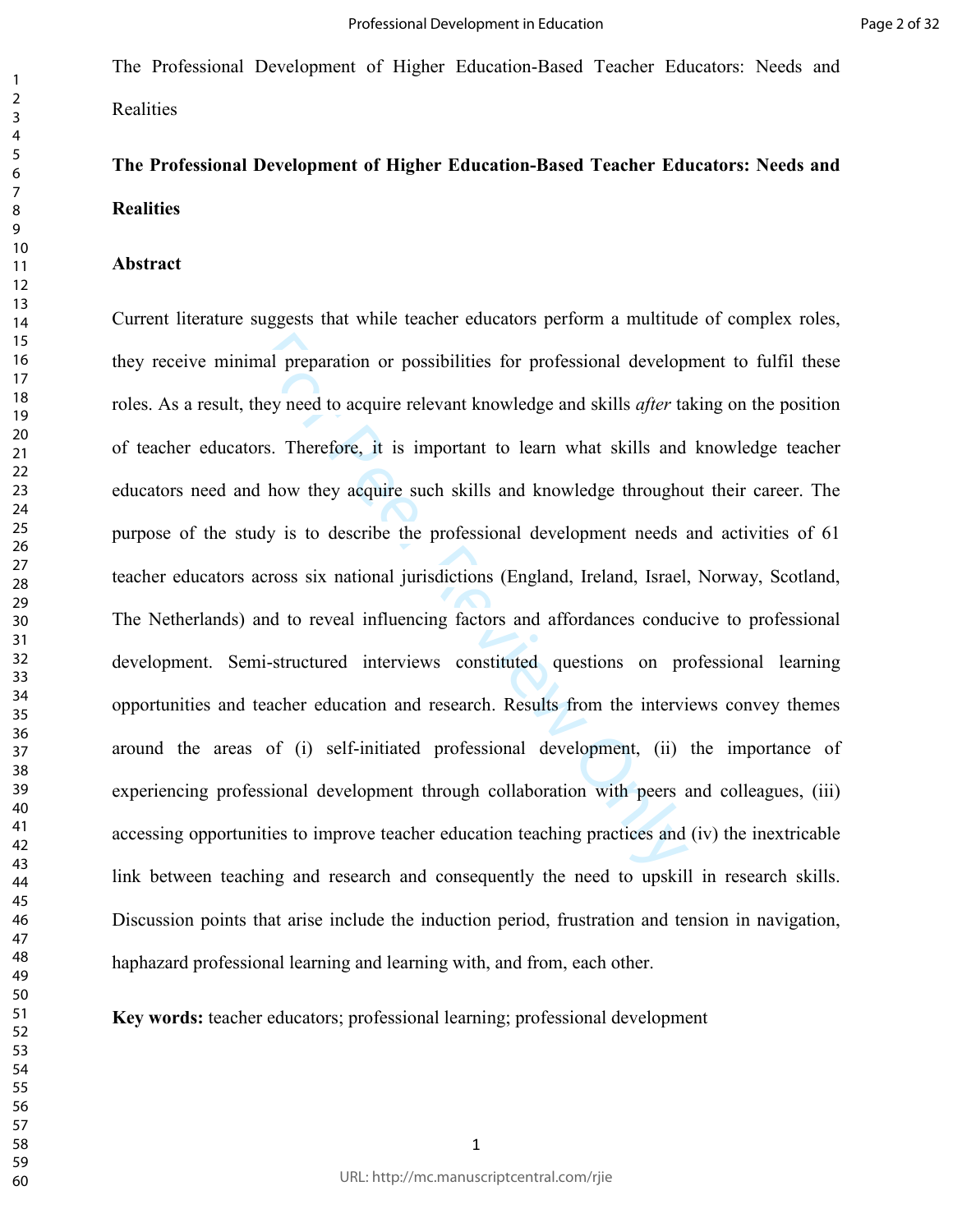# **The Professional Development of Higher Education-Based Teacher Educators: Needs and Realities**

#### **Abstract**

mal preparation or possibilities for professional develop<br>hey need to acquire relevant knowledge and skills *after* ta<br>rs. Therefore, it is important to learn what skills and<br>if how they acquire such skills and knowledge t Current literature suggests that while teacher educators perform a multitude of complex roles, they receive minimal preparation or possibilities for professional development to fulfil these roles. As a result, they need to acquire relevant knowledge and skills *after* taking on the position of teacher educators. Therefore, it is important to learn what skills and knowledge teacher educators need and how they acquire such skills and knowledge throughout their career. The purpose of the study is to describe the professional development needs and activities of 61 teacher educators across six national jurisdictions (England, Ireland, Israel, Norway, Scotland, The Netherlands) and to reveal influencing factors and affordances conducive to professional development. Semi-structured interviews constituted questions on professional learning opportunities and teacher education and research. Results from the interviews convey themes around the areas of (i) self-initiated professional development, (ii) the importance of experiencing professional development through collaboration with peers and colleagues, (iii) accessing opportunities to improve teacher education teaching practices and (iv) the inextricable link between teaching and research and consequently the need to upskill in research skills. Discussion points that arise include the induction period, frustration and tension in navigation, haphazard professional learning and learning with, and from, each other.

**Key words:** teacher educators; professional learning; professional development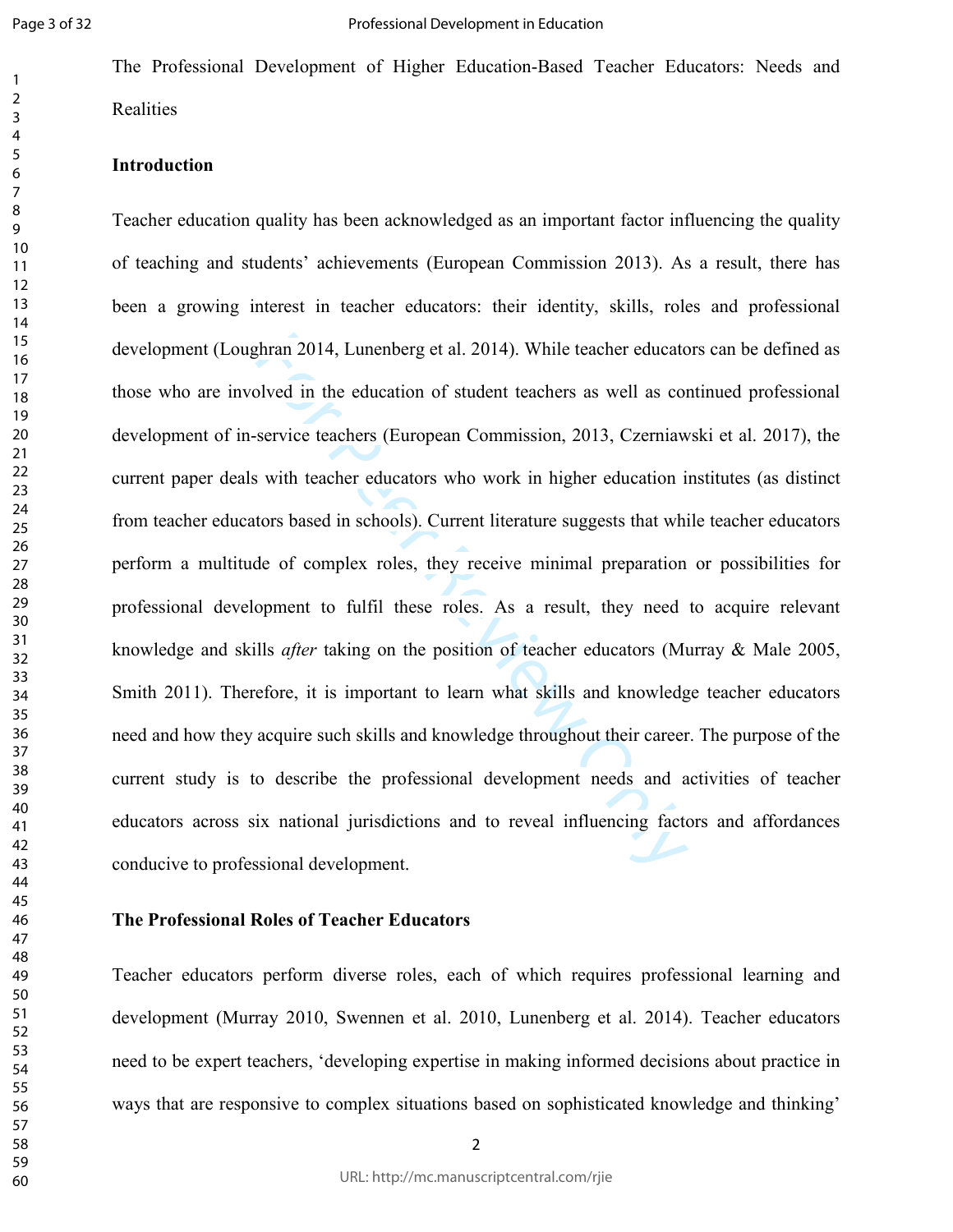## **Introduction**

ghran 2014, Lunenberg et al. 2014). While teacher educate<br>olved in the education of student teachers as well as conservice teachers (European Commission, 2013, Czerniaw<br>swith teacher educators who work in higher education Teacher education quality has been acknowledged as an important factor influencing the quality of teaching and students' achievements (European Commission 2013). As a result, there has been a growing interest in teacher educators: their identity, skills, roles and professional development (Loughran 2014, Lunenberg et al. 2014). While teacher educators can be defined as those who are involved in the education of student teachers as well as continued professional development of in-service teachers (European Commission, 2013, Czerniawski et al. 2017), the current paper deals with teacher educators who work in higher education institutes (as distinct from teacher educators based in schools). Current literature suggests that while teacher educators perform a multitude of complex roles, they receive minimal preparation or possibilities for professional development to fulfil these roles. As a result, they need to acquire relevant knowledge and skills *after* taking on the position of teacher educators (Murray & Male 2005, Smith 2011). Therefore, it is important to learn what skills and knowledge teacher educators need and how they acquire such skills and knowledge throughout their career. The purpose of the current study is to describe the professional development needs and activities of teacher educators across six national jurisdictions and to reveal influencing factors and affordances conducive to professional development.

#### **The Professional Roles of Teacher Educators**

Teacher educators perform diverse roles, each of which requires professional learning and development (Murray 2010, Swennen et al. 2010, Lunenberg et al. 2014). Teacher educators need to be expert teachers, 'developing expertise in making informed decisions about practice in ways that are responsive to complex situations based on sophisticated knowledge and thinking'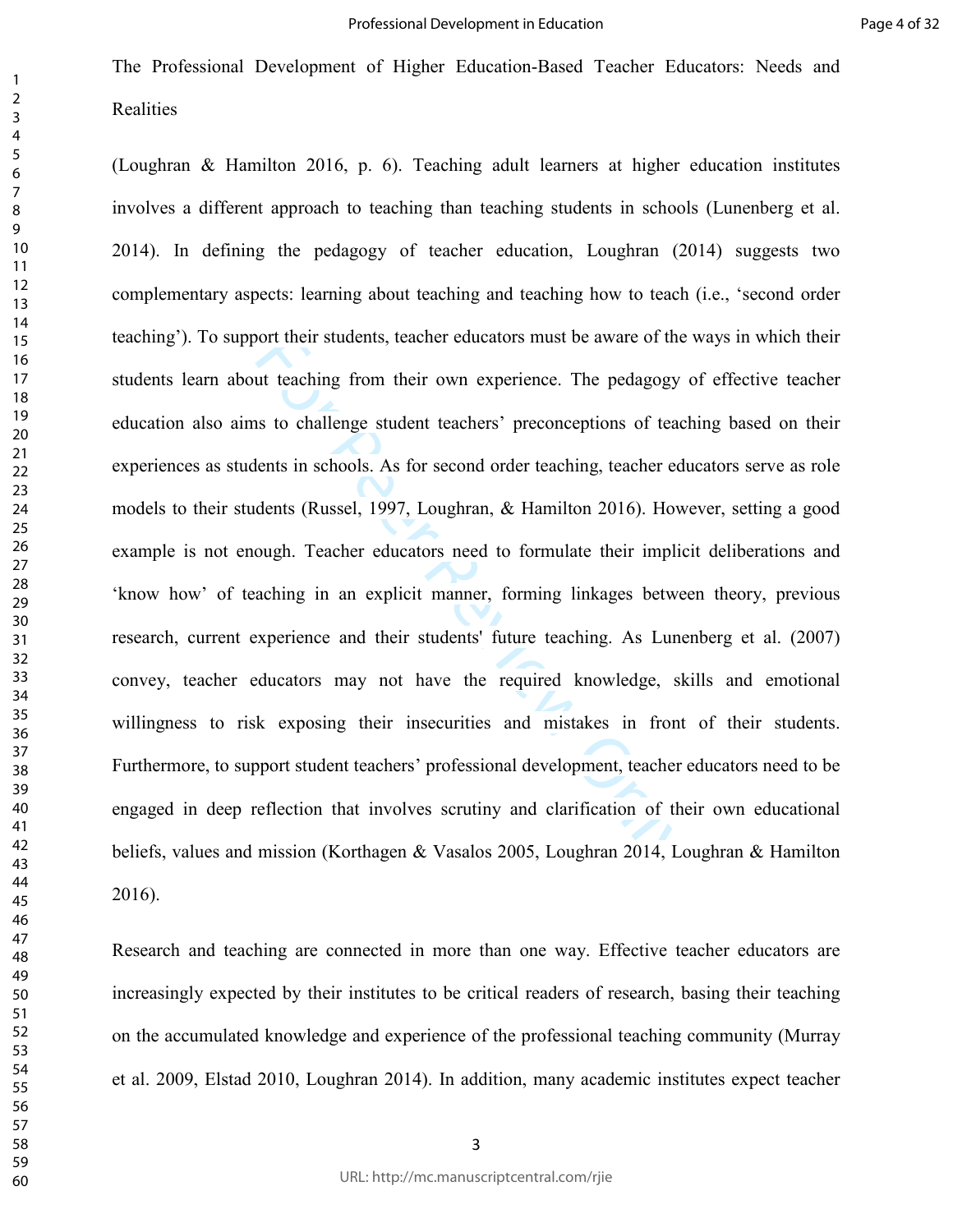oort their students, teacher educators must be aware of the<br>tut teaching from their own experience. The pedagogy<br>s to challenge student teachers' preconceptions of teac<br>lents in schools. As for second order teaching, teach (Loughran & Hamilton 2016, p. 6). Teaching adult learners at higher education institutes involves a different approach to teaching than teaching students in schools (Lunenberg et al. 2014). In defining the pedagogy of teacher education, Loughran (2014) suggests two complementary aspects: learning about teaching and teaching how to teach (i.e., 'second order teaching'). To support their students, teacher educators must be aware of the ways in which their students learn about teaching from their own experience. The pedagogy of effective teacher education also aims to challenge student teachers' preconceptions of teaching based on their experiences as students in schools. As for second order teaching, teacher educators serve as role models to their students (Russel, 1997, Loughran, & Hamilton 2016). However, setting a good example is not enough. Teacher educators need to formulate their implicit deliberations and 'know how' of teaching in an explicit manner, forming linkages between theory, previous research, current experience and their students' future teaching. As Lunenberg et al. (2007) convey, teacher educators may not have the required knowledge, skills and emotional willingness to risk exposing their insecurities and mistakes in front of their students. Furthermore, to support student teachers' professional development, teacher educators need to be engaged in deep reflection that involves scrutiny and clarification of their own educational beliefs, values and mission (Korthagen & Vasalos 2005, Loughran 2014, Loughran & Hamilton 2016).

Research and teaching are connected in more than one way. Effective teacher educators are increasingly expected by their institutes to be critical readers of research, basing their teaching on the accumulated knowledge and experience of the professional teaching community (Murray et al. 2009, Elstad 2010, Loughran 2014). In addition, many academic institutes expect teacher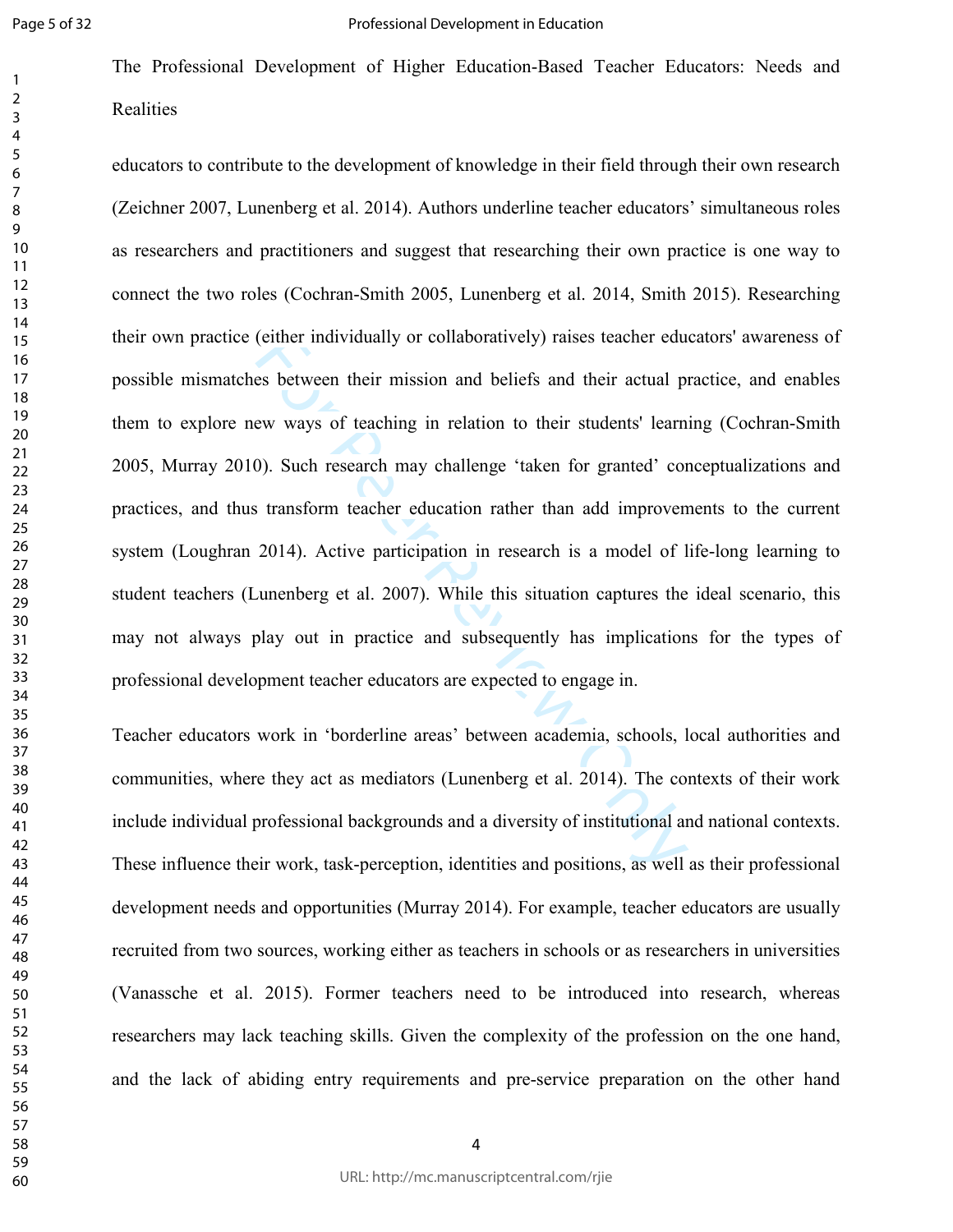The Professional Development of Higher Education-Based Teacher Educators: Needs and **Realities** 

(either individually or collaboratively) raises teacher edues<br>between their mission and beliefs and their actual piew ways of teaching in relation to their students' learn<br>0). Such research may challenge 'taken for granted educators to contribute to the development of knowledge in their field through their own research (Zeichner 2007, Lunenberg et al. 2014). Authors underline teacher educators' simultaneous roles as researchers and practitioners and suggest that researching their own practice is one way to connect the two roles (Cochran-Smith 2005, Lunenberg et al. 2014, Smith 2015). Researching their own practice (either individually or collaboratively) raises teacher educators' awareness of possible mismatches between their mission and beliefs and their actual practice, and enables them to explore new ways of teaching in relation to their students' learning (Cochran-Smith 2005, Murray 2010). Such research may challenge 'taken for granted' conceptualizations and practices, and thus transform teacher education rather than add improvements to the current system (Loughran 2014). Active participation in research is a model of life-long learning to student teachers (Lunenberg et al. 2007). While this situation captures the ideal scenario, this may not always play out in practice and subsequently has implications for the types of professional development teacher educators are expected to engage in.

Teacher educators work in 'borderline areas' between academia, schools, local authorities and communities, where they act as mediators (Lunenberg et al. 2014). The contexts of their work include individual professional backgrounds and a diversity of institutional and national contexts. These influence their work, task-perception, identities and positions, as well as their professional development needs and opportunities (Murray 2014). For example, teacher educators are usually recruited from two sources, working either as teachers in schools or as researchers in universities (Vanassche et al. 2015). Former teachers need to be introduced into research, whereas researchers may lack teaching skills. Given the complexity of the profession on the one hand, and the lack of abiding entry requirements and pre-service preparation on the other hand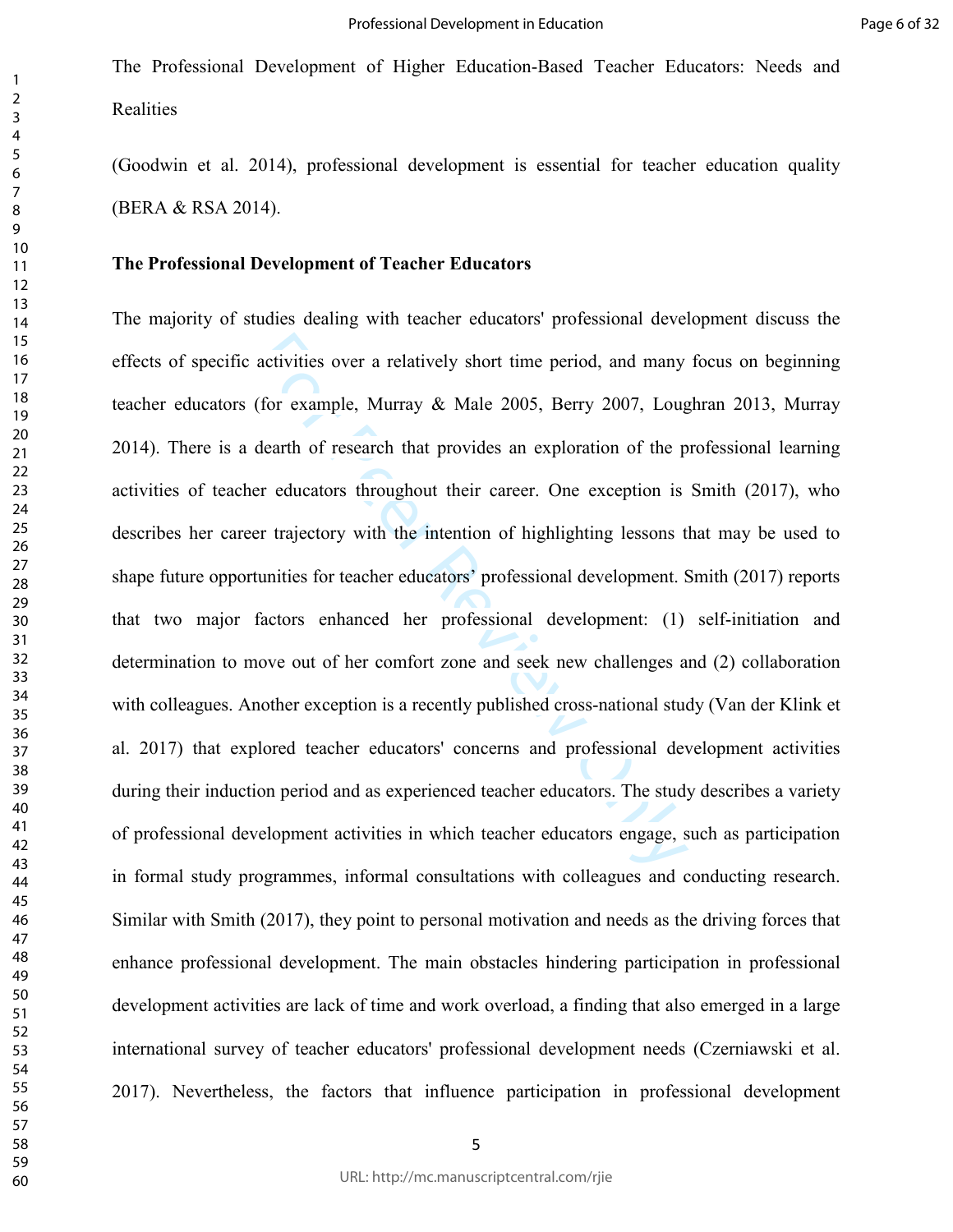(Goodwin et al. 2014), professional development is essential for teacher education quality (BERA & RSA 2014).

#### **The Professional Development of Teacher Educators**

activities over a relatively short time period, and many<br>(for example, Murray & Male 2005, Berry 2007, Loug<br>dearth of research that provides an exploration of the p<br>er educators throughout their career. One exception is<br>er The majority of studies dealing with teacher educators' professional development discuss the effects of specific activities over a relatively short time period, and many focus on beginning teacher educators (for example, Murray & Male 2005, Berry 2007, Loughran 2013, Murray 2014). There is a dearth of research that provides an exploration of the professional learning activities of teacher educators throughout their career. One exception is Smith (2017), who describes her career trajectory with the intention of highlighting lessons that may be used to shape future opportunities for teacher educators' professional development. Smith (2017) reports that two major factors enhanced her professional development: (1) self-initiation and determination to move out of her comfort zone and seek new challenges and (2) collaboration with colleagues. Another exception is a recently published cross-national study (Van der Klink et al. 2017) that explored teacher educators' concerns and professional development activities during their induction period and as experienced teacher educators. The study describes a variety of professional development activities in which teacher educators engage, such as participation in formal study programmes, informal consultations with colleagues and conducting research. Similar with Smith (2017), they point to personal motivation and needs as the driving forces that enhance professional development. The main obstacles hindering participation in professional development activities are lack of time and work overload, a finding that also emerged in a large international survey of teacher educators' professional development needs (Czerniawski et al. 2017). Nevertheless, the factors that influence participation in professional development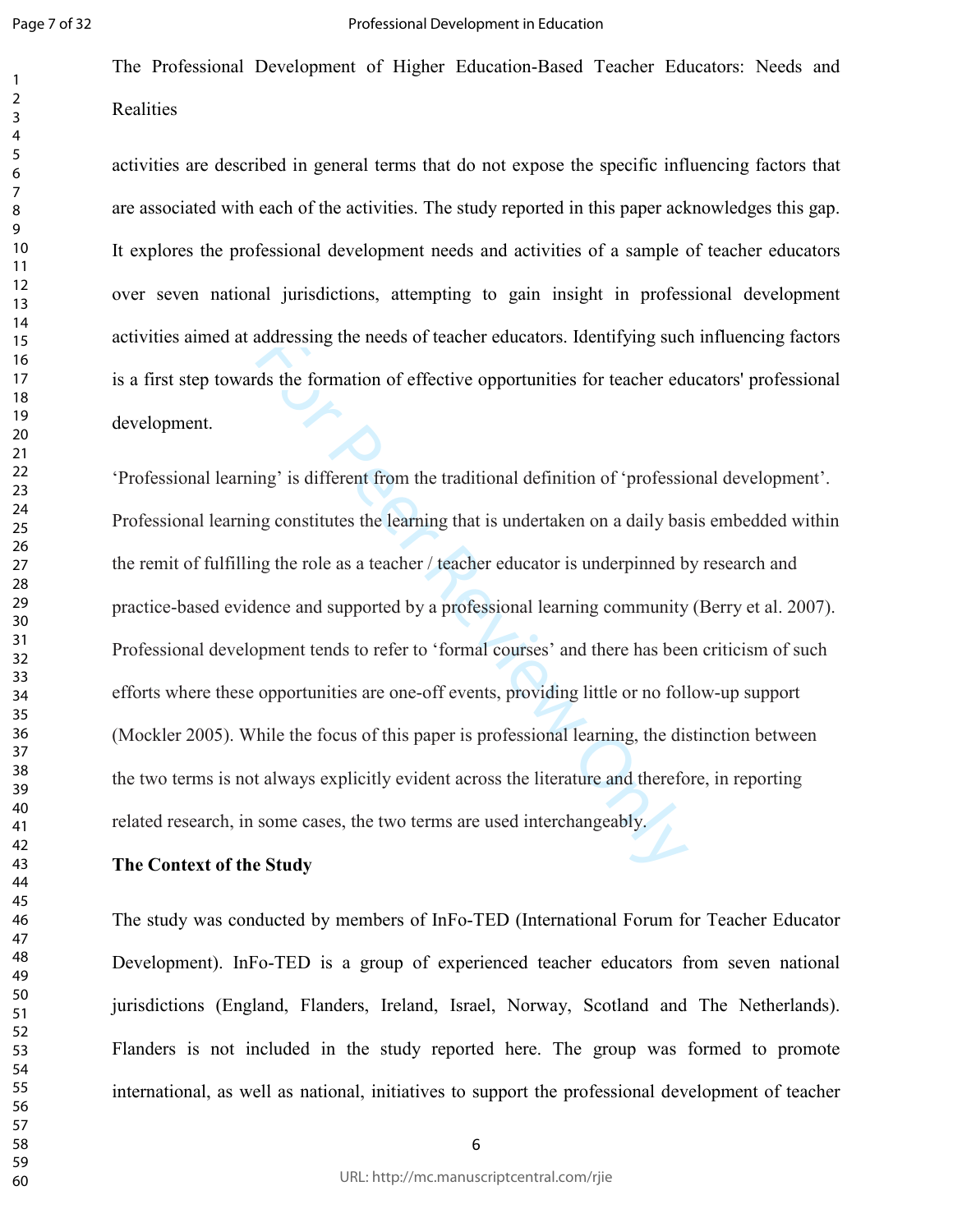The Professional Development of Higher Education-Based Teacher Educators: Needs and **Realities** 

activities are described in general terms that do not expose the specific influencing factors that are associated with each of the activities. The study reported in this paper acknowledges this gap. It explores the professional development needs and activities of a sample of teacher educators over seven national jurisdictions, attempting to gain insight in professional development activities aimed at addressing the needs of teacher educators. Identifying such influencing factors is a first step towards the formation of effective opportunities for teacher educators' professional development.

addressing the needs of teacher educators. Identifying such<br>ds the formation of effective opportunities for teacher edu<br>ing' is different from the traditional definition of 'professia<br>g constitutes the learning that is und 'Professional learning' is different from the traditional definition of 'professional development'. Professional learning constitutes the learning that is undertaken on a daily basis embedded within the remit of fulfilling the role as a teacher / teacher educator is underpinned by research and practice-based evidence and supported by a professional learning community (Berry et al. 2007). Professional development tends to refer to 'formal courses' and there has been criticism of such efforts where these opportunities are one-off events, providing little or no follow-up support (Mockler 2005). While the focus of this paper is professional learning, the distinction between the two terms is not always explicitly evident across the literature and therefore, in reporting related research, in some cases, the two terms are used interchangeably.

## **The Context of the Study**

The study was conducted by members of InFo-TED (International Forum for Teacher Educator Development). InFo-TED is a group of experienced teacher educators from seven national jurisdictions (England, Flanders, Ireland, Israel, Norway, Scotland and The Netherlands). Flanders is not included in the study reported here. The group was formed to promote international, as well as national, initiatives to support the professional development of teacher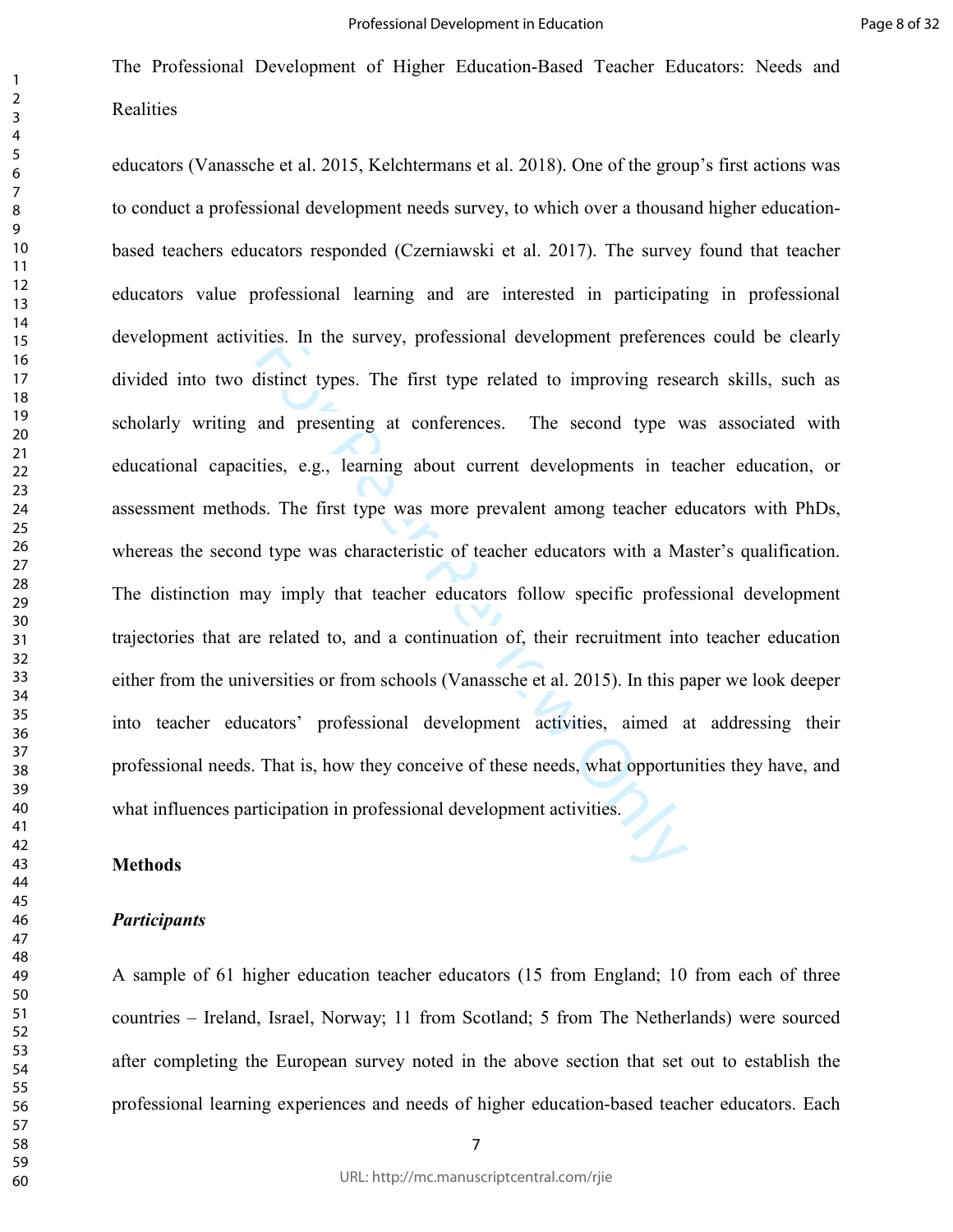thes. In the survey, protessional development preterence<br>distinct types. The first type related to improving researed<br>and presenting at conferences. The second type w<br>ties, e.g., learning about current developments in teac educators (Vanassche et al. 2015, Kelchtermans et al. 2018). One of the group's first actions was to conduct a professional development needs survey, to which over a thousand higher educationbased teachers educators responded (Czerniawski et al. 2017). The survey found that teacher educators value professional learning and are interested in participating in professional development activities. In the survey, professional development preferences could be clearly divided into two distinct types. The first type related to improving research skills, such as scholarly writing and presenting at conferences. The second type was associated with educational capacities, e.g., learning about current developments in teacher education, or assessment methods. The first type was more prevalent among teacher educators with PhDs, whereas the second type was characteristic of teacher educators with a Master's qualification. The distinction may imply that teacher educators follow specific professional development trajectories that are related to, and a continuation of, their recruitment into teacher education either from the universities or from schools (Vanassche et al. 2015). In this paper we look deeper into teacher educators' professional development activities, aimed at addressing their professional needs. That is, how they conceive of these needs, what opportunities they have, and what influences participation in professional development activities.

## **Methods**

#### *Participants*

A sample of 61 higher education teacher educators (15 from England; 10 from each of three countries – Ireland, Israel, Norway; 11 from Scotland; 5 from The Netherlands) were sourced after completing the European survey noted in the above section that set out to establish the professional learning experiences and needs of higher education-based teacher educators. Each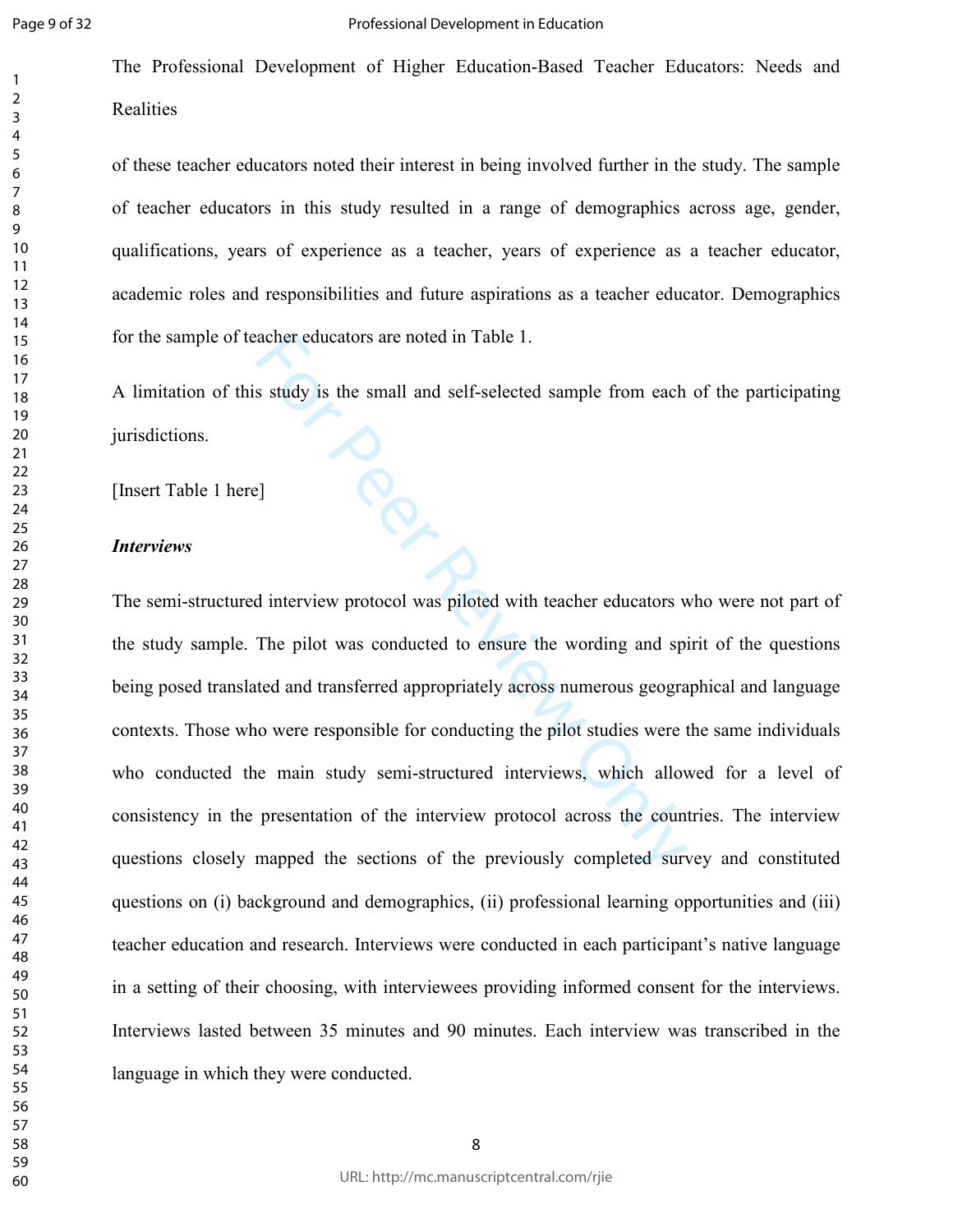$\overline{2}$  The Professional Development of Higher Education-Based Teacher Educators: Needs and Realities

of these teacher educators noted their interest in being involved further in the study. The sample of teacher educators in this study resulted in a range of demographics across age, gender, qualifications, years of experience as a teacher, years of experience as a teacher educator, academic roles and responsibilities and future aspirations as a teacher educator. Demographics for the sample of teacher educators are noted in Table 1.

A limitation of this study is the small and self-selected sample from each of the participating jurisdictions.

[Insert Table 1 here]

#### *Interviews*

For educators are noted in Table 1.<br>
S study is the small and self-selected sample from each<br>
Study is the small and self-selected sample from each<br>
Property of the small and splitted with teacher educators with<br>
The pilot The semi-structured interview protocol was piloted with teacher educators who were not part of the study sample. The pilot was conducted to ensure the wording and spirit of the questions being posed translated and transferred appropriately across numerous geographical and language contexts. Those who were responsible for conducting the pilot studies were the same individuals who conducted the main study semi-structured interviews, which allowed for a level of consistency in the presentation of the interview protocol across the countries. The interview questions closely mapped the sections of the previously completed survey and constituted questions on (i) background and demographics, (ii) professional learning opportunities and (iii) teacher education and research. Interviews were conducted in each participant's native language in a setting of their choosing, with interviewees providing informed consent for the interviews. Interviews lasted between 35 minutes and 90 minutes. Each interview was transcribed in the language in which they were conducted.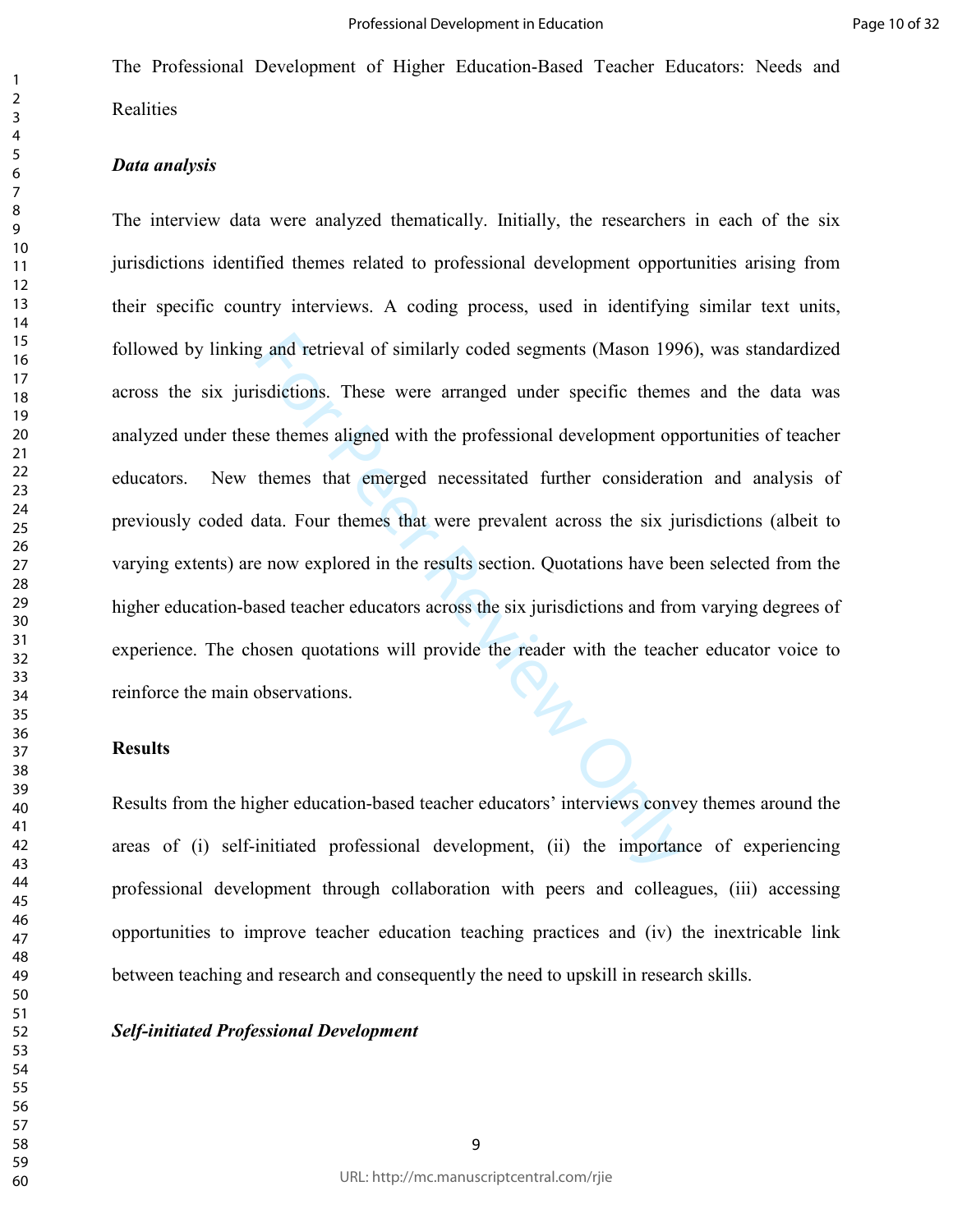### *Data analysis*

g and retrieval of similarly coded segments (Mason 1996<br>
sidictions. These were arranged under specific themes<br>
se themes aligned with the professional development opp<br>
themes that emerged necessitated further consideratic The interview data were analyzed thematically. Initially, the researchers in each of the six jurisdictions identified themes related to professional development opportunities arising from their specific country interviews. A coding process, used in identifying similar text units, followed by linking and retrieval of similarly coded segments (Mason 1996), was standardized across the six jurisdictions. These were arranged under specific themes and the data was analyzed under these themes aligned with the professional development opportunities of teacher educators. New themes that emerged necessitated further consideration and analysis of previously coded data. Four themes that were prevalent across the six jurisdictions (albeit to varying extents) are now explored in the results section. Quotations have been selected from the higher education-based teacher educators across the six jurisdictions and from varying degrees of experience. The chosen quotations will provide the reader with the teacher educator voice to reinforce the main observations.

#### **Results**

Results from the higher education-based teacher educators' interviews convey themes around the areas of (i) self-initiated professional development, (ii) the importance of experiencing professional development through collaboration with peers and colleagues, (iii) accessing opportunities to improve teacher education teaching practices and (iv) the inextricable link between teaching and research and consequently the need to upskill in research skills.

#### *Self-initiated Professional Development*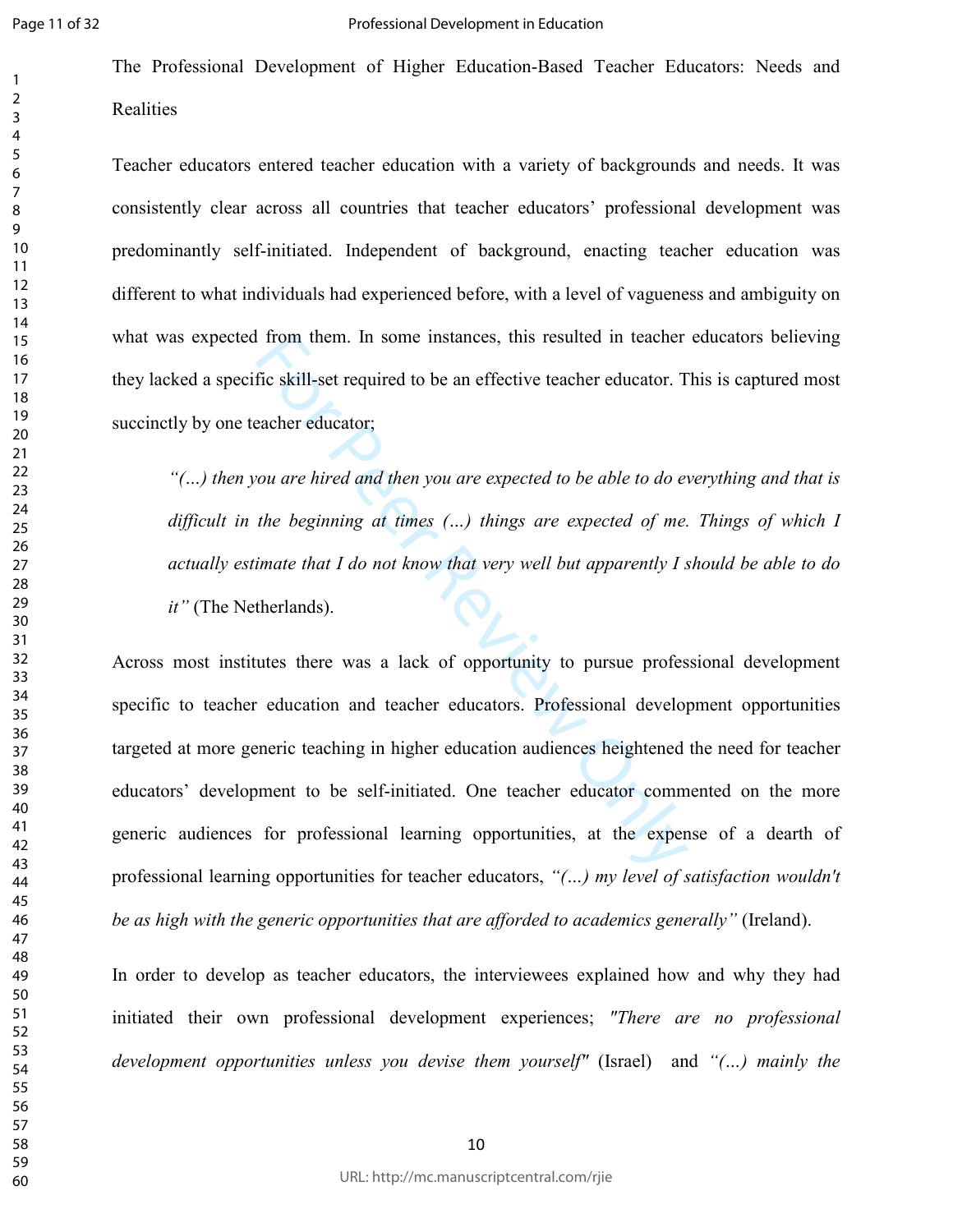$\overline{2}$  The Professional Development of Higher Education-Based Teacher Educators: Needs and Realities

Teacher educators entered teacher education with a variety of backgrounds and needs. It was consistently clear across all countries that teacher educators' professional development was predominantly self-initiated. Independent of background, enacting teacher education was different to what individuals had experienced before, with a level of vagueness and ambiguity on what was expected from them. In some instances, this resulted in teacher educators believing they lacked a specific skill-set required to be an effective teacher educator. This is captured most succinctly by one teacher educator;

*"(…) then you are hired and then you are expected to be able to do everything and that is difficult in the beginning at times (…) things are expected of me. Things of which I actually estimate that I do not know that very well but apparently I should be able to do it"* (The Netherlands).

For them. In some instances, this resulted in teacher<br>fic skill-set required to be an effective teacher educator. T<br>acher educator;<br>cou are hired and then you are expected to be able to do et<br>the beginning at times (...) Across most institutes there was a lack of opportunity to pursue professional development specific to teacher education and teacher educators. Professional development opportunities targeted at more generic teaching in higher education audiences heightened the need for teacher educators' development to be self-initiated. One teacher educator commented on the more generic audiences for professional learning opportunities, at the expense of a dearth of professional learning opportunities for teacher educators, *"(…) my level of satisfaction wouldn't be as high with the generic opportunities that are afforded to academics generally"* (Ireland).

In order to develop as teacher educators, the interviewees explained how and why they had initiated their own professional development experiences; *"There are no professional development opportunities unless you devise them yourself"* (Israel) and *"(…) mainly the*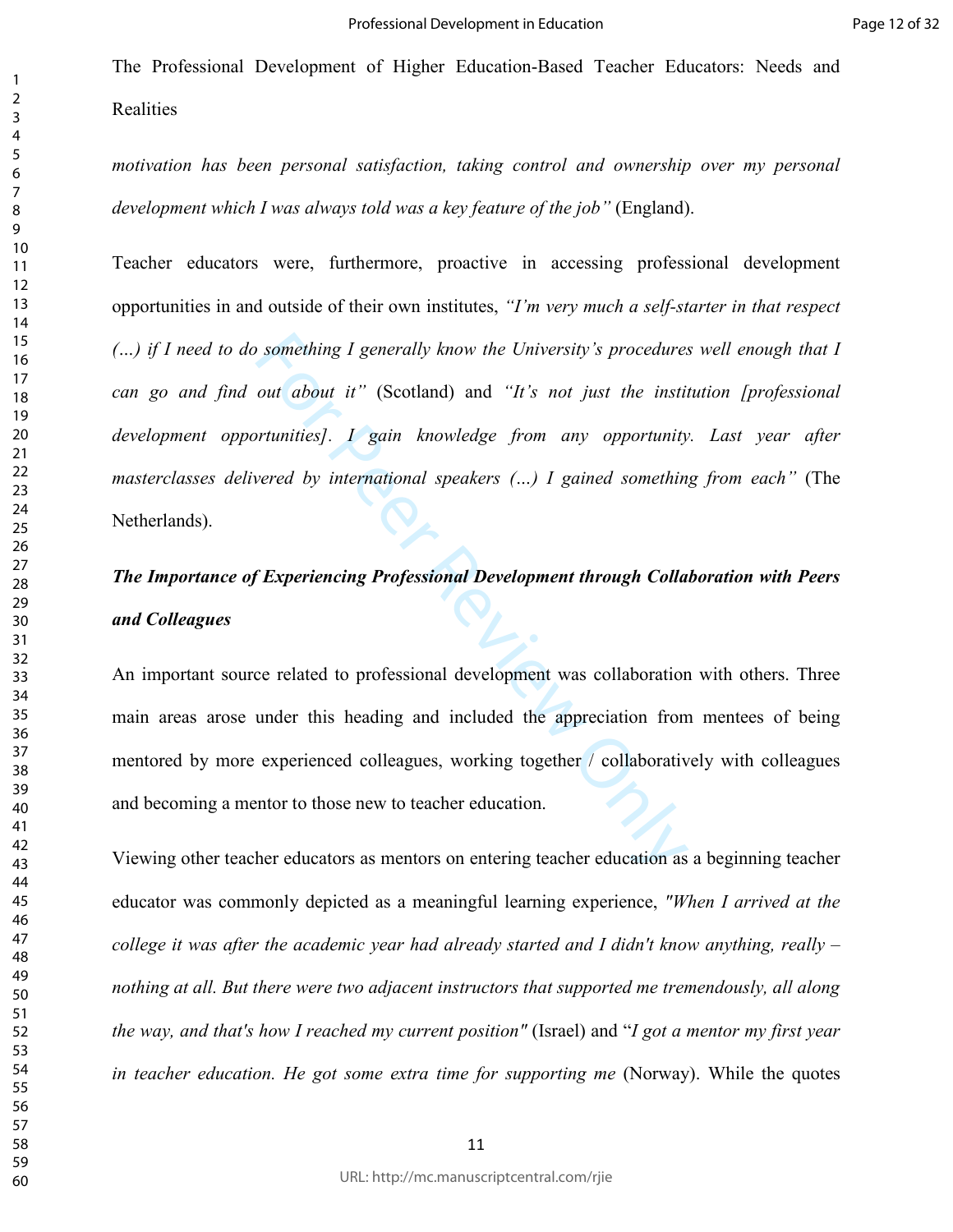*motivation has been personal satisfaction, taking control and ownership over my personal development which I was always told was a key feature of the job"* (England).

Something I generally know the University's procedures<br>
out about it" (Scotland) and "It's not just the institution<br>
out about it" (Scotland) and "It's not just the institution<br>
out the institution of the institution of th Teacher educators were, furthermore, proactive in accessing professional development opportunities in and outside of their own institutes, *"I'm very much a self-starter in that respect (…) if I need to do something I generally know the University's procedures well enough that I can go and find out about it"* (Scotland) and *"It's not just the institution [professional development opportunities]. I gain knowledge from any opportunity. Last year after masterclasses delivered by international speakers (…) I gained something from each"* (The Netherlands).

# *The Importance of Experiencing Professional Development through Collaboration with Peers and Colleagues*

An important source related to professional development was collaboration with others. Three main areas arose under this heading and included the appreciation from mentees of being mentored by more experienced colleagues, working together / collaboratively with colleagues and becoming a mentor to those new to teacher education.

Viewing other teacher educators as mentors on entering teacher education as a beginning teacher educator was commonly depicted as a meaningful learning experience, *"When I arrived at the college it was after the academic year had already started and I didn't know anything, really – nothing at all. But there were two adjacent instructors that supported me tremendously, all along the way, and that's how I reached my current position"* (Israel) and "*I got a mentor my first year in teacher education. He got some extra time for supporting me (Norway). While the quotes*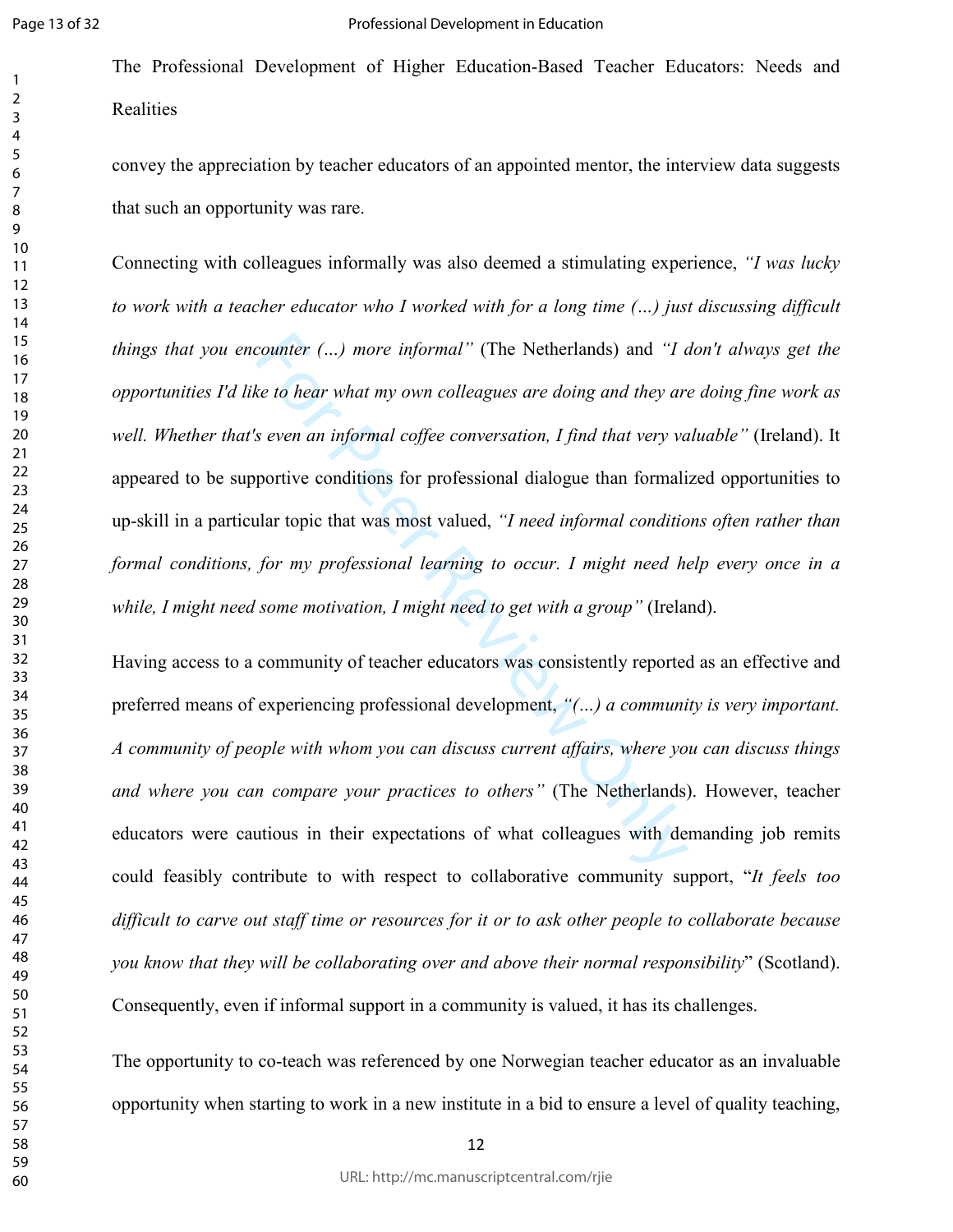The Professional Development of Higher Education-Based Teacher Educators: Needs and **Realities** 

convey the appreciation by teacher educators of an appointed mentor, the interview data suggests that such an opportunity was rare.

counter (...) more informal" (The Netherlands) and "I can be the the or what my own colleagues are doing and they are seven an informal coffee conversation, I find that very value of the seven an informal coffee conversat Connecting with colleagues informally was also deemed a stimulating experience, *"I was lucky to work with a teacher educator who I worked with for a long time (…) just discussing difficult things that you encounter (…) more informal"* (The Netherlands) and *"I don't always get the opportunities I'd like to hear what my own colleagues are doing and they are doing fine work as well. Whether that's even an informal coffee conversation, I find that very valuable"* (Ireland). It appeared to be supportive conditions for professional dialogue than formalized opportunities to up-skill in a particular topic that was most valued, *"I need informal conditions often rather than formal conditions, for my professional learning to occur. I might need help every once in a while, I might need some motivation, I might need to get with a group"* (Ireland).

Having access to a community of teacher educators was consistently reported as an effective and preferred means of experiencing professional development, *"(…) a community is very important. A community of people with whom you can discuss current affairs, where you can discuss things and where you can compare your practices to others"* (The Netherlands). However, teacher educators were cautious in their expectations of what colleagues with demanding job remits could feasibly contribute to with respect to collaborative community support, "*It feels too difficult to carve out staff time or resources for it or to ask other people to collaborate because you know that they will be collaborating over and above their normal responsibility*" (Scotland). Consequently, even if informal support in a community is valued, it has its challenges.

The opportunity to co-teach was referenced by one Norwegian teacher educator as an invaluable opportunity when starting to work in a new institute in a bid to ensure a level of quality teaching,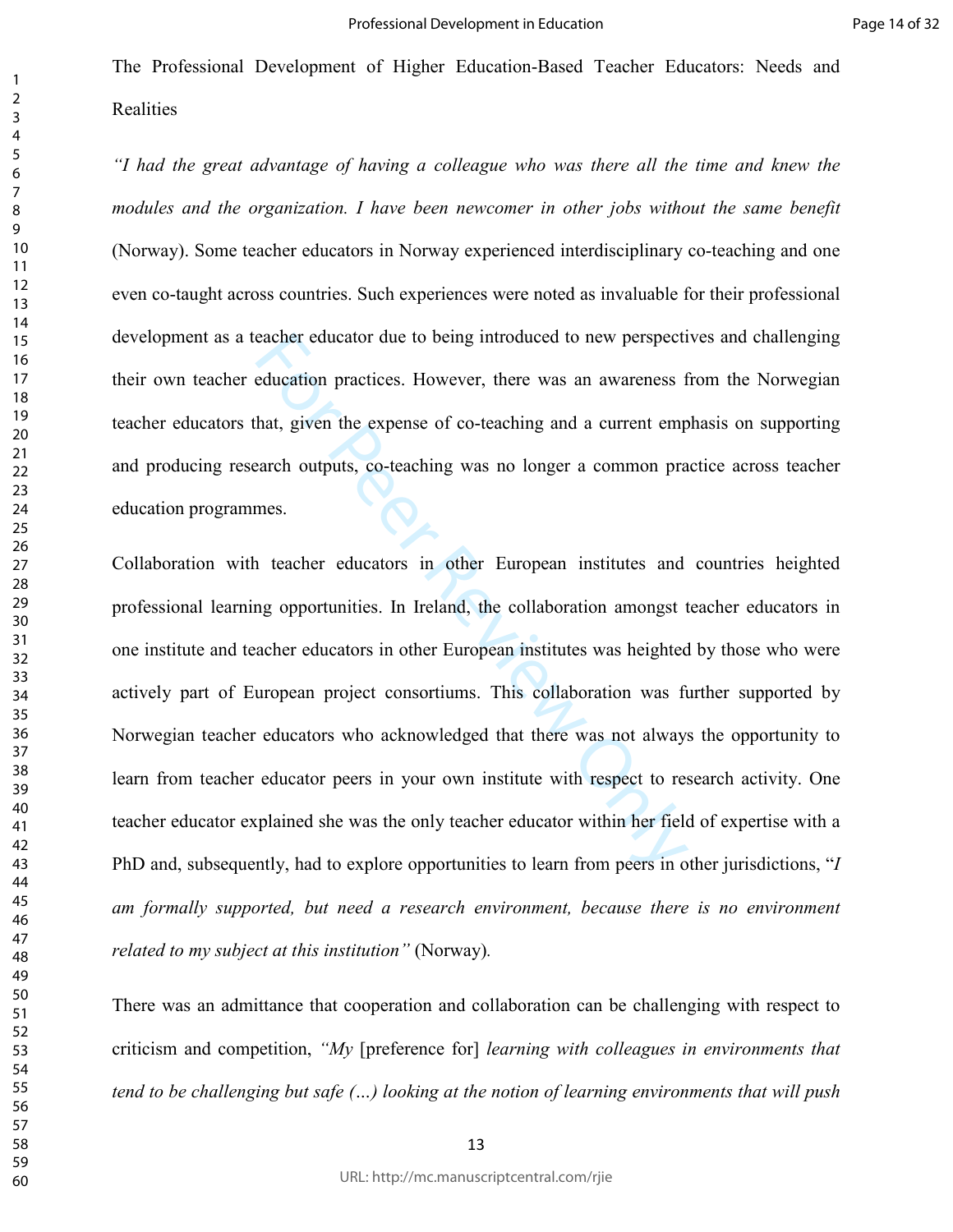*"I had the great advantage of having a colleague who was there all the time and knew the modules and the organization. I have been newcomer in other jobs without the same benefit* (Norway). Some teacher educators in Norway experienced interdisciplinary co-teaching and one even co-taught across countries. Such experiences were noted as invaluable for their professional development as a teacher educator due to being introduced to new perspectives and challenging their own teacher education practices. However, there was an awareness from the Norwegian teacher educators that, given the expense of co-teaching and a current emphasis on supporting and producing research outputs, co-teaching was no longer a common practice across teacher education programmes.

eacher educator due to being introduced to new perspect<br>education practices. However, there was an awareness f<br>hat, given the expense of co-teaching and a current emp<br>earch outputs, co-teaching was no longer a common pra<br>m Collaboration with teacher educators in other European institutes and countries heighted professional learning opportunities. In Ireland, the collaboration amongst teacher educators in one institute and teacher educators in other European institutes was heighted by those who were actively part of European project consortiums. This collaboration was further supported by Norwegian teacher educators who acknowledged that there was not always the opportunity to learn from teacher educator peers in your own institute with respect to research activity. One teacher educator explained she was the only teacher educator within her field of expertise with a PhD and, subsequently, had to explore opportunities to learn from peers in other jurisdictions, "*I am formally supported, but need a research environment, because there is no environment related to my subject at this institution"* (Norway)*.* 

There was an admittance that cooperation and collaboration can be challenging with respect to criticism and competition, *"My* [preference for] *learning with colleagues in environments that tend to be challenging but safe (…) looking at the notion of learning environments that will push*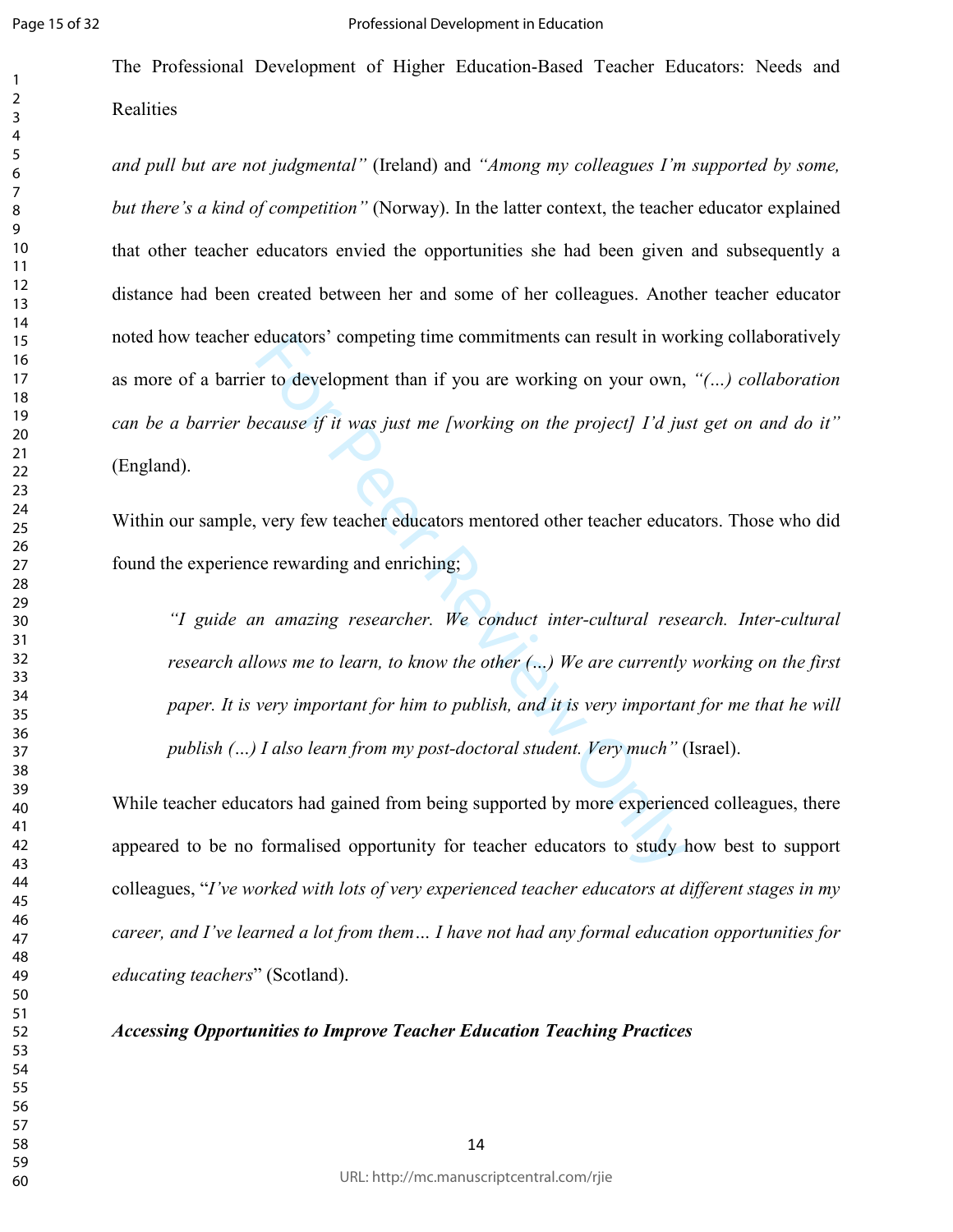The Professional Development of Higher Education-Based Teacher Educators: Needs and Realities

*and pull but are not judgmental"* (Ireland) and *"Among my colleagues I'm supported by some, but there's a kind of competition"* (Norway). In the latter context, the teacher educator explained that other teacher educators envied the opportunities she had been given and subsequently a distance had been created between her and some of her colleagues. Another teacher educator noted how teacher educators' competing time commitments can result in working collaboratively as more of a barrier to development than if you are working on your own, *"(…) collaboration can be a barrier because if it was just me [working on the project] I'd just get on and do it"*  (England).

Within our sample, very few teacher educators mentored other teacher educators. Those who did found the experience rewarding and enriching;

educators' competing time commitments can result in work<br>or to development than if you are working on your own,<br>ecause if it was just me [working on the project] I'd just<br>very few teacher educators mentored other teacher e *"I guide an amazing researcher. We conduct inter-cultural research. Inter-cultural research allows me to learn, to know the other (…) We are currently working on the first paper. It is very important for him to publish, and it is very important for me that he will publish (…) I also learn from my post-doctoral student. Very much"* (Israel).

While teacher educators had gained from being supported by more experienced colleagues, there appeared to be no formalised opportunity for teacher educators to study how best to support colleagues, "*I've worked with lots of very experienced teacher educators at different stages in my career, and I've learned a lot from them… I have not had any formal education opportunities for educating teachers*" (Scotland).

*Accessing Opportunities to Improve Teacher Education Teaching Practices*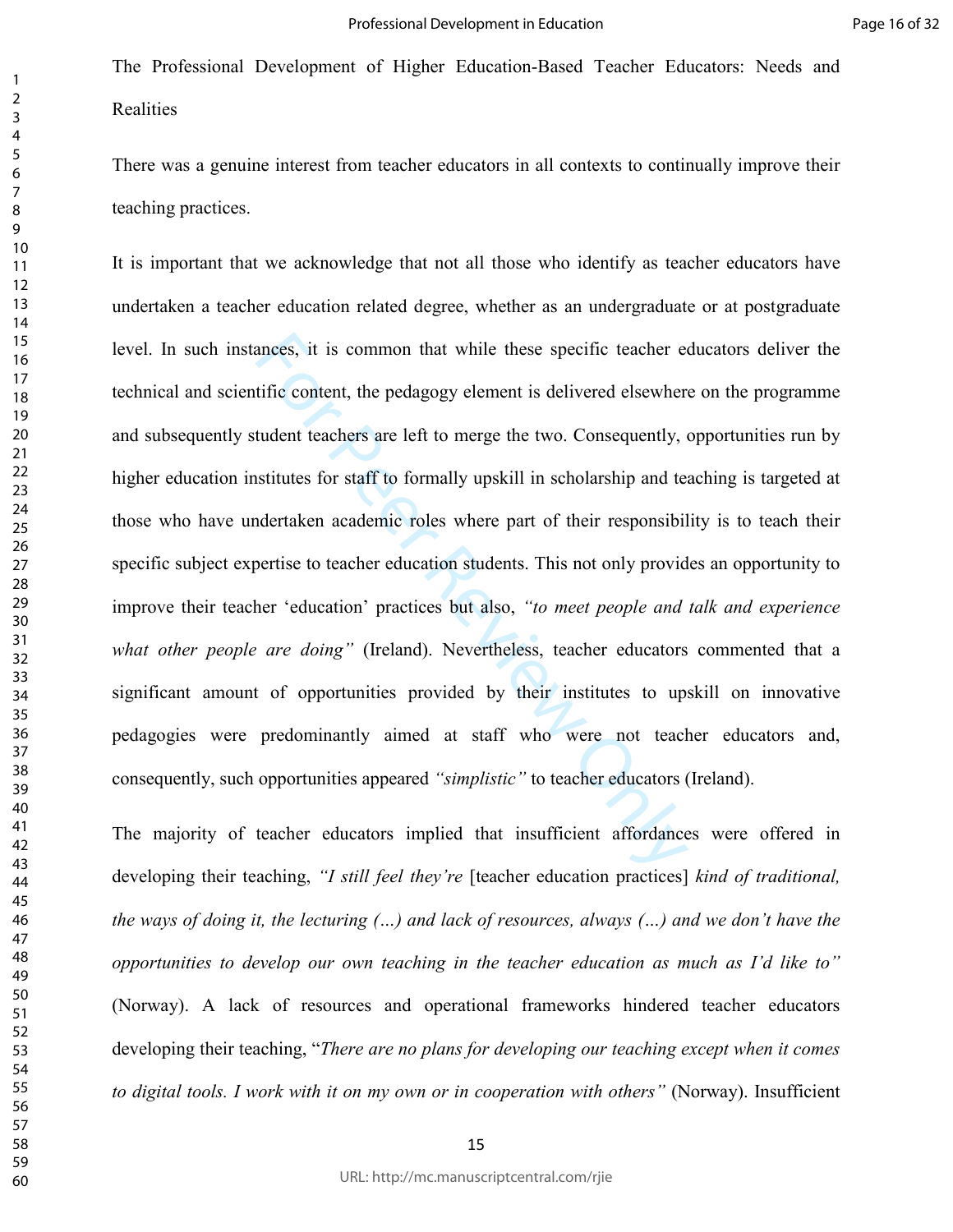There was a genuine interest from teacher educators in all contexts to continually improve their teaching practices.

ances, it is common that while these specific teacher et<br>tific content, the pedagogy element is delivered elsewher<br>tudent teachers are left to merge the two. Consequently, on<br>stitutes for staff to formally upskill in schol It is important that we acknowledge that not all those who identify as teacher educators have undertaken a teacher education related degree, whether as an undergraduate or at postgraduate level. In such instances, it is common that while these specific teacher educators deliver the technical and scientific content, the pedagogy element is delivered elsewhere on the programme and subsequently student teachers are left to merge the two. Consequently, opportunities run by higher education institutes for staff to formally upskill in scholarship and teaching is targeted at those who have undertaken academic roles where part of their responsibility is to teach their specific subject expertise to teacher education students. This not only provides an opportunity to improve their teacher 'education' practices but also, *"to meet people and talk and experience what other people are doing"* (Ireland). Nevertheless, teacher educators commented that a significant amount of opportunities provided by their institutes to upskill on innovative pedagogies were predominantly aimed at staff who were not teacher educators and, consequently, such opportunities appeared *"simplistic"* to teacher educators (Ireland).

The majority of teacher educators implied that insufficient affordances were offered in developing their teaching, *"I still feel they're* [teacher education practices] *kind of traditional, the ways of doing it, the lecturing (…) and lack of resources, always (…) and we don't have the opportunities to develop our own teaching in the teacher education as much as I'd like to"*  (Norway). A lack of resources and operational frameworks hindered teacher educators developing their teaching, "*There are no plans for developing our teaching except when it comes to digital tools. I work with it on my own or in cooperation with others"* (Norway). Insufficient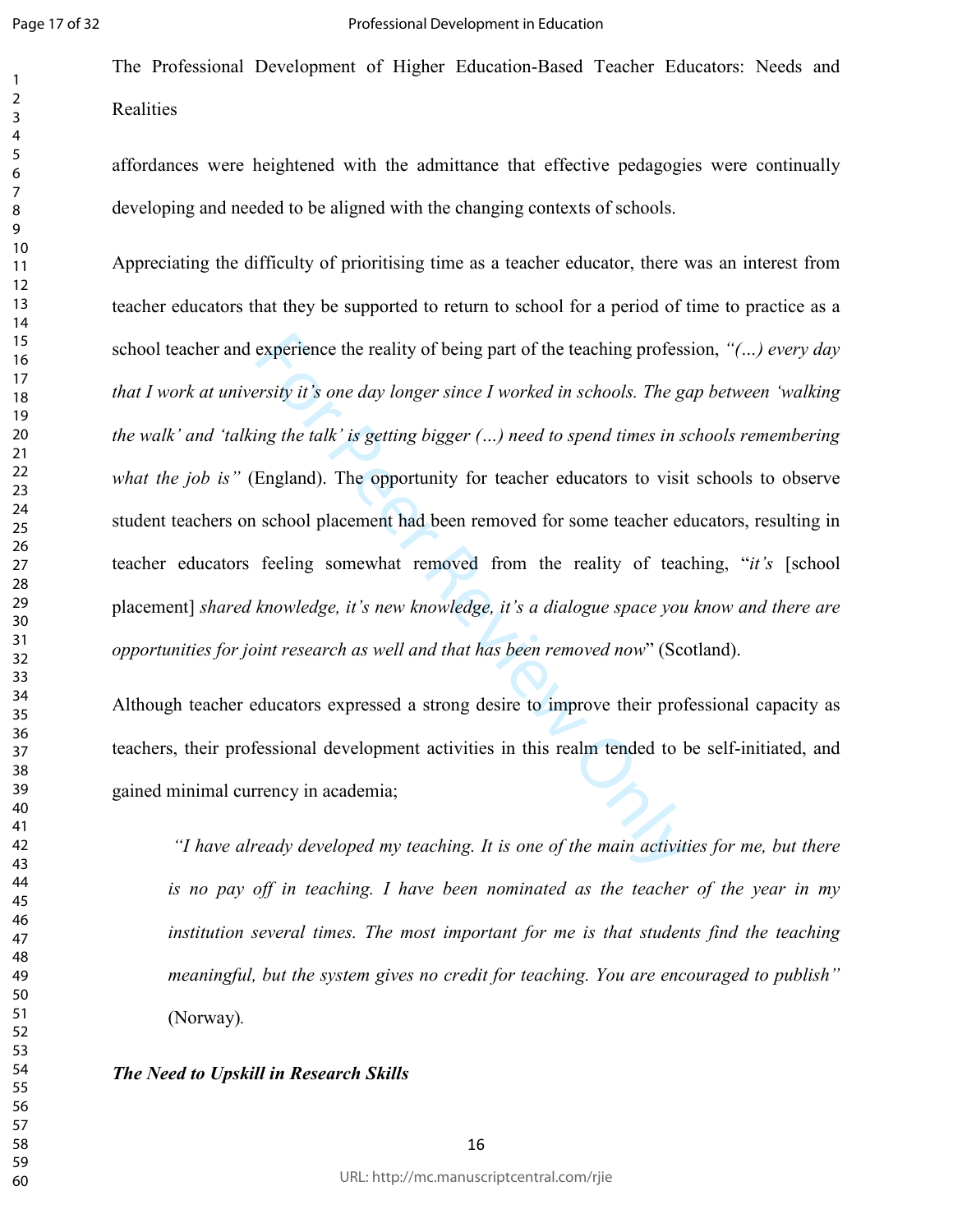The Professional Development of Higher Education-Based Teacher Educators: Needs and **Realities** 

affordances were heightened with the admittance that effective pedagogies were continually developing and needed to be aligned with the changing contexts of schools.

experience the reality of being part of the teaching profess<br>ersity it's one day longer since I worked in schools. The georging the talk' is getting bigger (...) need to spend times in set<br>England). The opportunity for tea Appreciating the difficulty of prioritising time as a teacher educator, there was an interest from teacher educators that they be supported to return to school for a period of time to practice as a school teacher and experience the reality of being part of the teaching profession, *"(…) every day that I work at university it's one day longer since I worked in schools. The gap between 'walking the walk' and 'talking the talk' is getting bigger (…) need to spend times in schools remembering what the job is"* (England). The opportunity for teacher educators to visit schools to observe student teachers on school placement had been removed for some teacher educators, resulting in teacher educators feeling somewhat removed from the reality of teaching, "*it's* [school placement] *shared knowledge, it's new knowledge, it's a dialogue space you know and there are opportunities for joint research as well and that has been removed now*" (Scotland).

Although teacher educators expressed a strong desire to improve their professional capacity as teachers, their professional development activities in this realm tended to be self-initiated, and gained minimal currency in academia;

 *"I have already developed my teaching. It is one of the main activities for me, but there is no pay off in teaching. I have been nominated as the teacher of the year in my institution several times. The most important for me is that students find the teaching meaningful, but the system gives no credit for teaching. You are encouraged to publish"*  (Norway)*.*

#### *The Need to Upskill in Research Skills*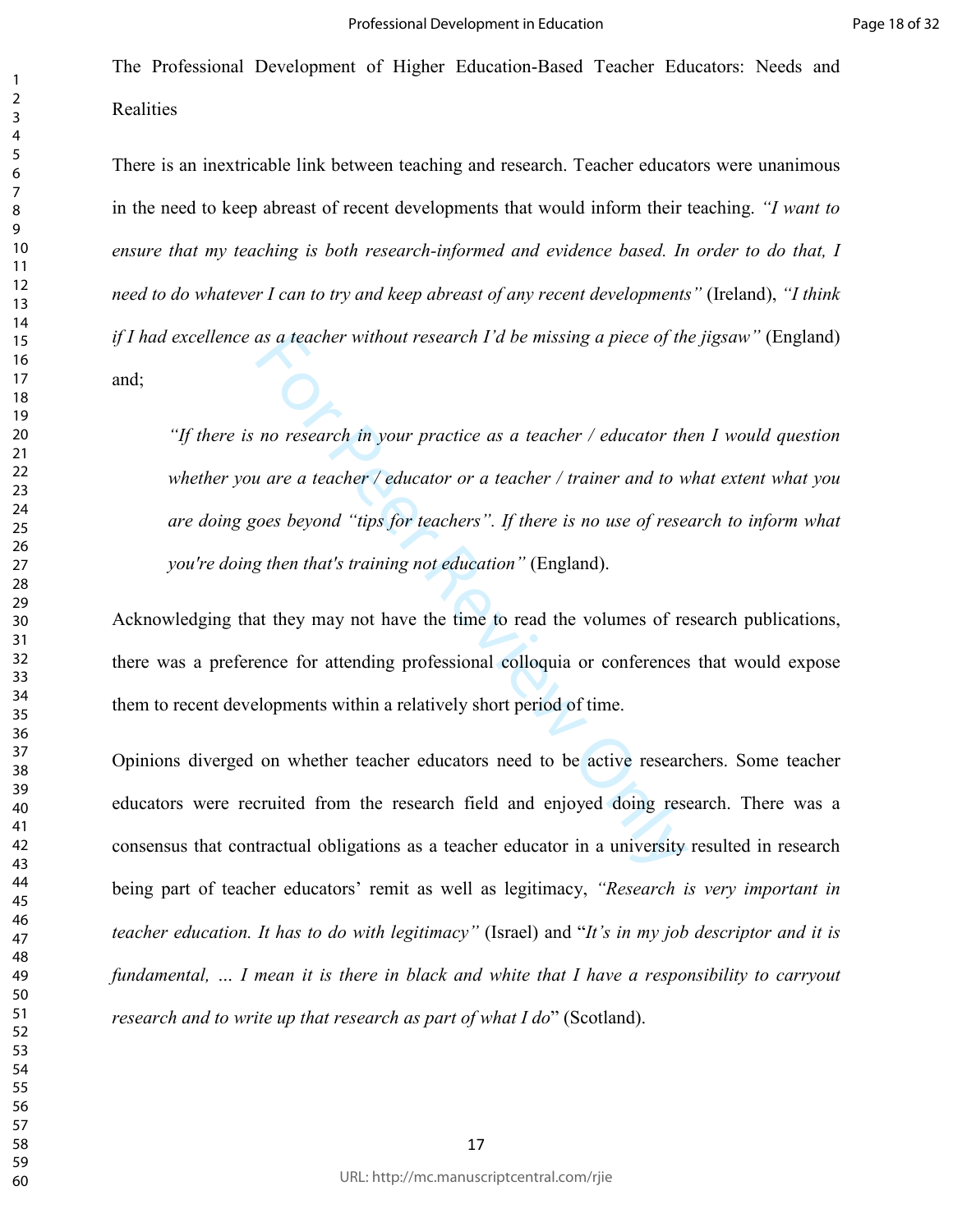There is an inextricable link between teaching and research. Teacher educators were unanimous in the need to keep abreast of recent developments that would inform their teaching. *"I want to ensure that my teaching is both research-informed and evidence based. In order to do that, I need to do whatever I can to try and keep abreast of any recent developments"* (Ireland), *"I think if I had excellence as a teacher without research I'd be missing a piece of the jigsaw"* (England) and;

as a teacher without research I'd be missing a piece of the<br>no research in your practice as a teacher / educator the<br>no research in your practice as a teacher / trainer and to w<br>no research in your practice as a teacher / *"If there is no research in your practice as a teacher / educator then I would question whether you are a teacher / educator or a teacher / trainer and to what extent what you are doing goes beyond "tips for teachers". If there is no use of research to inform what you're doing then that's training not education"* (England).

Acknowledging that they may not have the time to read the volumes of research publications, there was a preference for attending professional colloquia or conferences that would expose them to recent developments within a relatively short period of time.

Opinions diverged on whether teacher educators need to be active researchers. Some teacher educators were recruited from the research field and enjoyed doing research. There was a consensus that contractual obligations as a teacher educator in a university resulted in research being part of teacher educators' remit as well as legitimacy, *"Research is very important in teacher education. It has to do with legitimacy"* (Israel) and "*It's in my job descriptor and it is fundamental, … I mean it is there in black and white that I have a responsibility to carryout research and to write up that research as part of what I do*" (Scotland).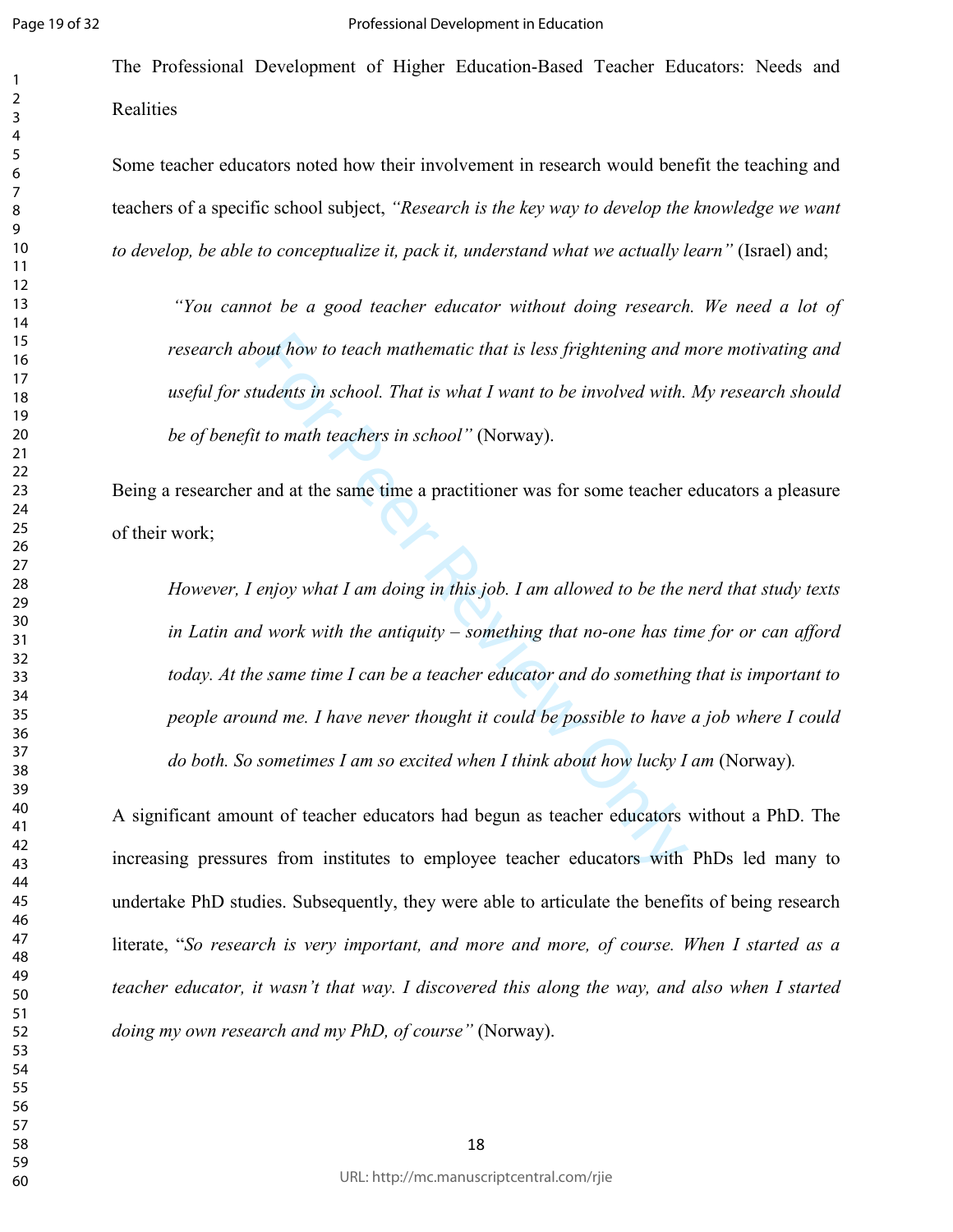The Professional Development of Higher Education-Based Teacher Educators: Needs and Realities

Some teacher educators noted how their involvement in research would benefit the teaching and teachers of a specific school subject, *"Research is the key way to develop the knowledge we want to develop, be able to conceptualize it, pack it, understand what we actually learn"* (Israel) and;

 *"You cannot be a good teacher educator without doing research. We need a lot of research about how to teach mathematic that is less frightening and more motivating and useful for students in school. That is what I want to be involved with. My research should be of benefit to math teachers in school"* (Norway).

Being a researcher and at the same time a practitioner was for some teacher educators a pleasure of their work;

out how to teach mathematic that is less frightening and r<br>
udents in school. That is what I want to be involved with.<br>
t to math teachers in school" (Norway).<br>
and at the same time a practitioner was for some teacher<br>
enj *However, I enjoy what I am doing in this job. I am allowed to be the nerd that study texts in Latin and work with the antiquity – something that no-one has time for or can afford today. At the same time I can be a teacher educator and do something that is important to people around me. I have never thought it could be possible to have a job where I could do both. So sometimes I am so excited when I think about how lucky I am (Norway).* 

A significant amount of teacher educators had begun as teacher educators without a PhD. The increasing pressures from institutes to employee teacher educators with PhDs led many to undertake PhD studies. Subsequently, they were able to articulate the benefits of being research literate, "*So research is very important, and more and more, of course. When I started as a teacher educator, it wasn't that way. I discovered this along the way, and also when I started doing my own research and my PhD, of course"* (Norway).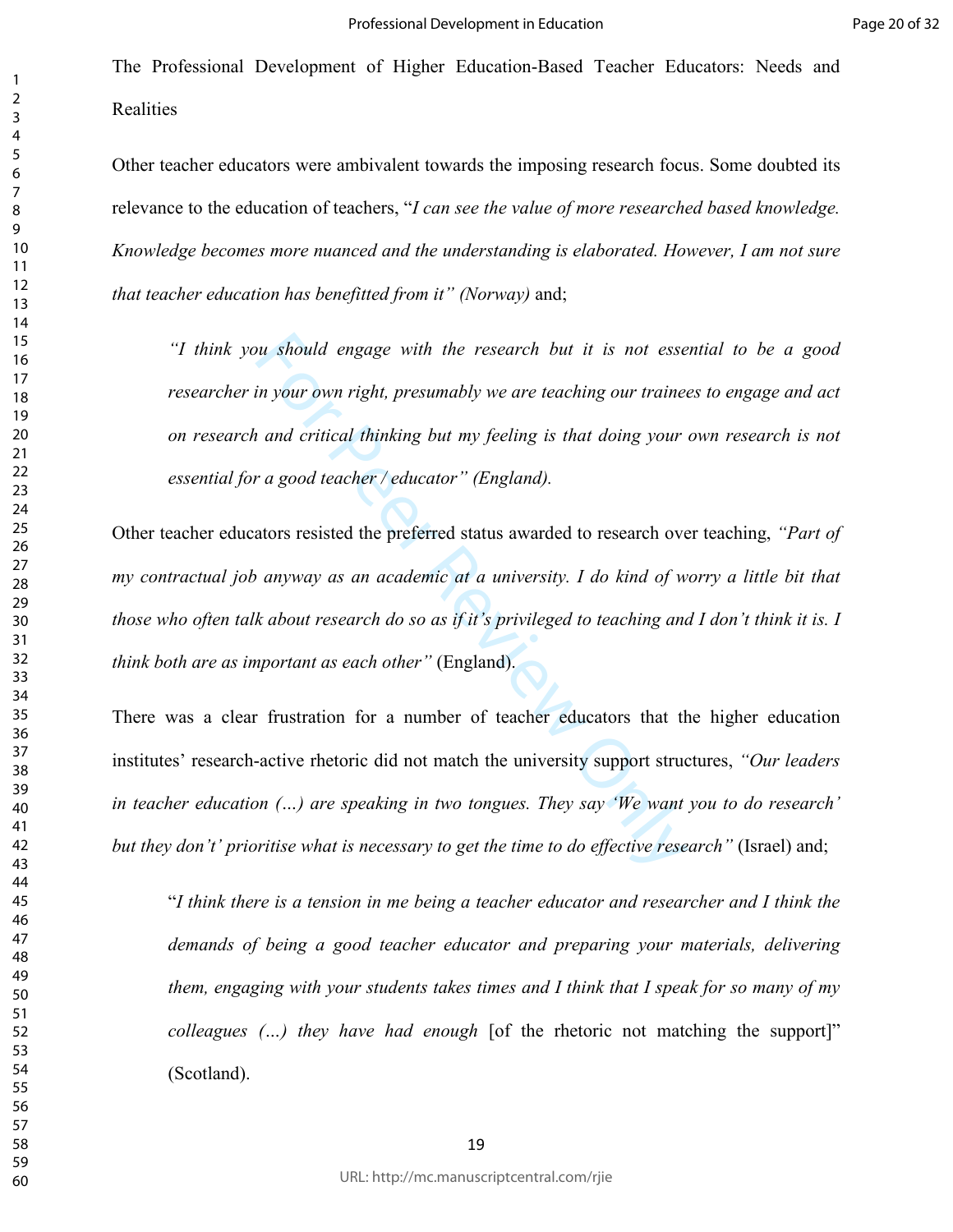Other teacher educators were ambivalent towards the imposing research focus. Some doubted its relevance to the education of teachers, "*I can see the value of more researched based knowledge. Knowledge becomes more nuanced and the understanding is elaborated. However, I am not sure that teacher education has benefitted from it" (Norway)* and;

*"I think you should engage with the research but it is not essential to be a good researcher in your own right, presumably we are teaching our trainees to engage and act on research and critical thinking but my feeling is that doing your own research is not essential for a good teacher / educator" (England).* 

ou should engage with the research but it is not essempt our own right, presumably we are teaching our trained and critical thinking but my feeling is that doing your and critical thinking but my feeling is that doing your Other teacher educators resisted the preferred status awarded to research over teaching, *"Part of my contractual job anyway as an academic at a university. I do kind of worry a little bit that those who often talk about research do so as if it's privileged to teaching and I don't think it is. I think both are as important as each other"* (England).

There was a clear frustration for a number of teacher educators that the higher education institutes' research-active rhetoric did not match the university support structures, *"Our leaders in teacher education (…) are speaking in two tongues. They say 'We want you to do research' but they don't' prioritise what is necessary to get the time to do effective research"* (Israel) and;<br>I think there is a tension in me being a teacher educator and researcher and I think the

*demands of being a good teacher educator and preparing your materials, delivering them, engaging with your students takes times and I think that I speak for so many of my colleagues (…) they have had enough* [of the rhetoric not matching the support]" (Scotland).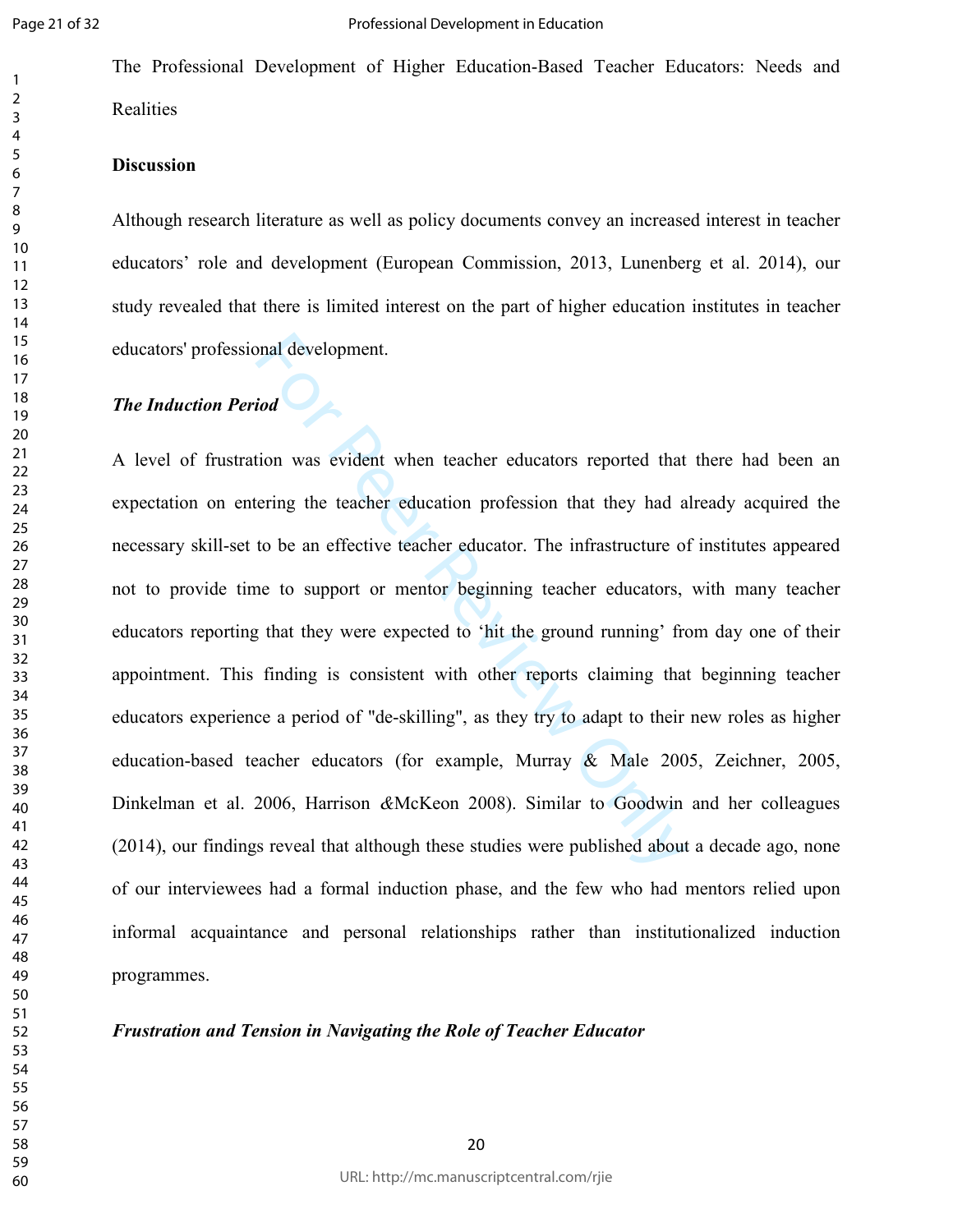The Professional Development of Higher Education-Based Teacher Educators: Needs and Realities

## **Discussion**

Although research literature as well as policy documents convey an increased interest in teacher educators' role and development (European Commission, 2013, Lunenberg et al. 2014), our study revealed that there is limited interest on the part of higher education institutes in teacher educators' professional development.

## *The Induction Period*

ional development.<br>
ional development.<br>
ional variation vasa evident when teacher educators reported that<br>
rering the teacher education profession that they had a<br>
to be an effective teacher educator. The infrastructure of A level of frustration was evident when teacher educators reported that there had been an expectation on entering the teacher education profession that they had already acquired the necessary skill-set to be an effective teacher educator. The infrastructure of institutes appeared not to provide time to support or mentor beginning teacher educators, with many teacher educators reporting that they were expected to 'hit the ground running' from day one of their appointment. This finding is consistent with other reports claiming that beginning teacher educators experience a period of "de-skilling", as they try to adapt to their new roles as higher education-based teacher educators (for example, Murray & Male 2005, Zeichner, 2005, Dinkelman et al. 2006, Harrison *&*McKeon 2008). Similar to Goodwin and her colleagues (2014), our findings reveal that although these studies were published about a decade ago, none of our interviewees had a formal induction phase, and the few who had mentors relied upon informal acquaintance and personal relationships rather than institutionalized induction programmes.

*Frustration and Tension in Navigating the Role of Teacher Educator*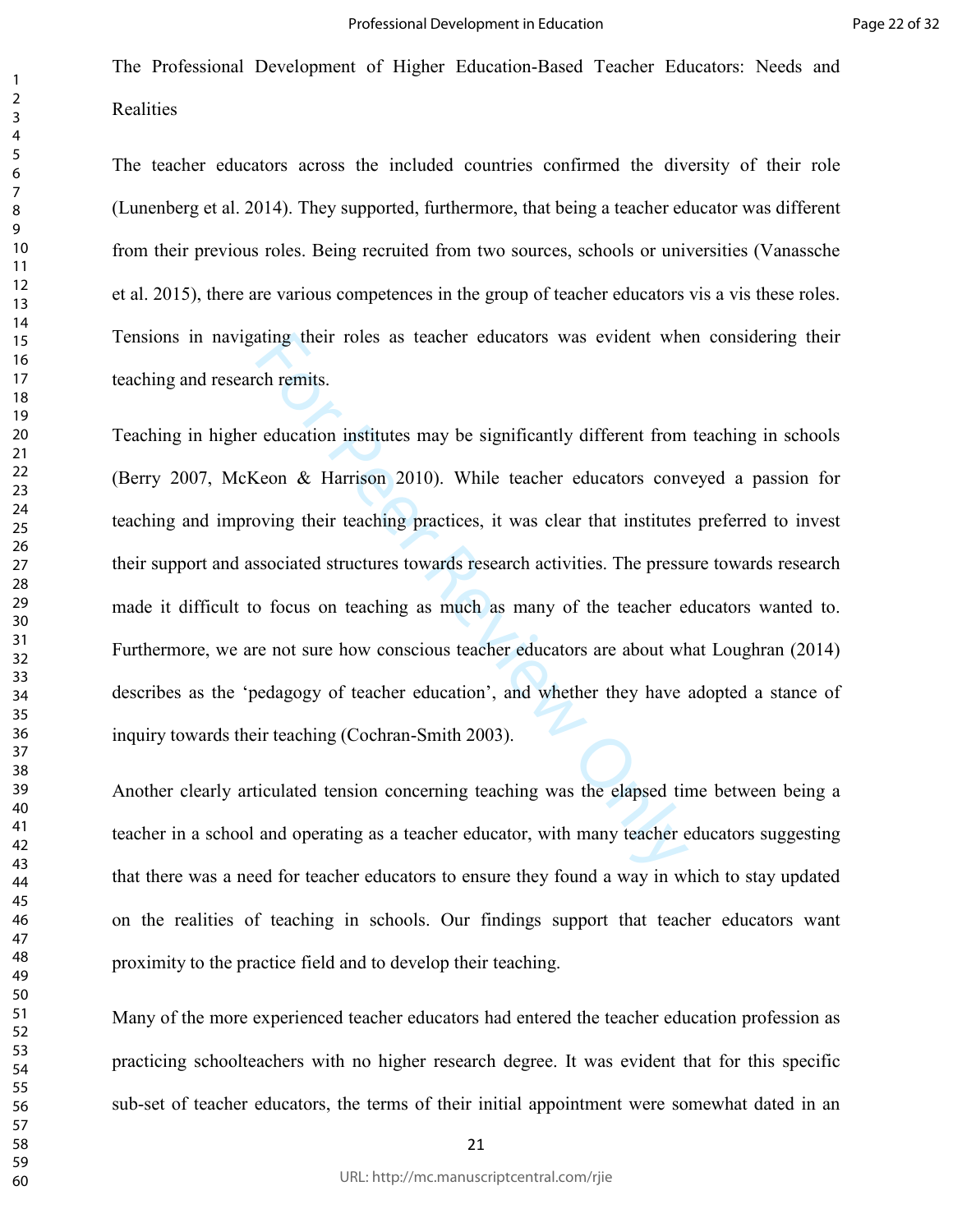The teacher educators across the included countries confirmed the diversity of their role (Lunenberg et al. 2014). They supported, furthermore, that being a teacher educator was different from their previous roles. Being recruited from two sources, schools or universities (Vanassche et al. 2015), there are various competences in the group of teacher educators vis a vis these roles. Tensions in navigating their roles as teacher educators was evident when considering their teaching and research remits.

ating their roles as teacher educators was evident whe<br>ch remits.<br>education institutes may be significantly different from<br>Geon & Harrison 2010). While teacher educators conv<br>oving their teaching practices, it was clear th Teaching in higher education institutes may be significantly different from teaching in schools (Berry 2007, McKeon & Harrison 2010). While teacher educators conveyed a passion for teaching and improving their teaching practices, it was clear that institutes preferred to invest their support and associated structures towards research activities. The pressure towards research made it difficult to focus on teaching as much as many of the teacher educators wanted to. Furthermore, we are not sure how conscious teacher educators are about what Loughran (2014) describes as the 'pedagogy of teacher education', and whether they have adopted a stance of inquiry towards their teaching (Cochran-Smith 2003).

Another clearly articulated tension concerning teaching was the elapsed time between being a teacher in a school and operating as a teacher educator, with many teacher educators suggesting that there was a need for teacher educators to ensure they found a way in which to stay updated on the realities of teaching in schools. Our findings support that teacher educators want proximity to the practice field and to develop their teaching.

Many of the more experienced teacher educators had entered the teacher education profession as practicing schoolteachers with no higher research degree. It was evident that for this specific sub-set of teacher educators, the terms of their initial appointment were somewhat dated in an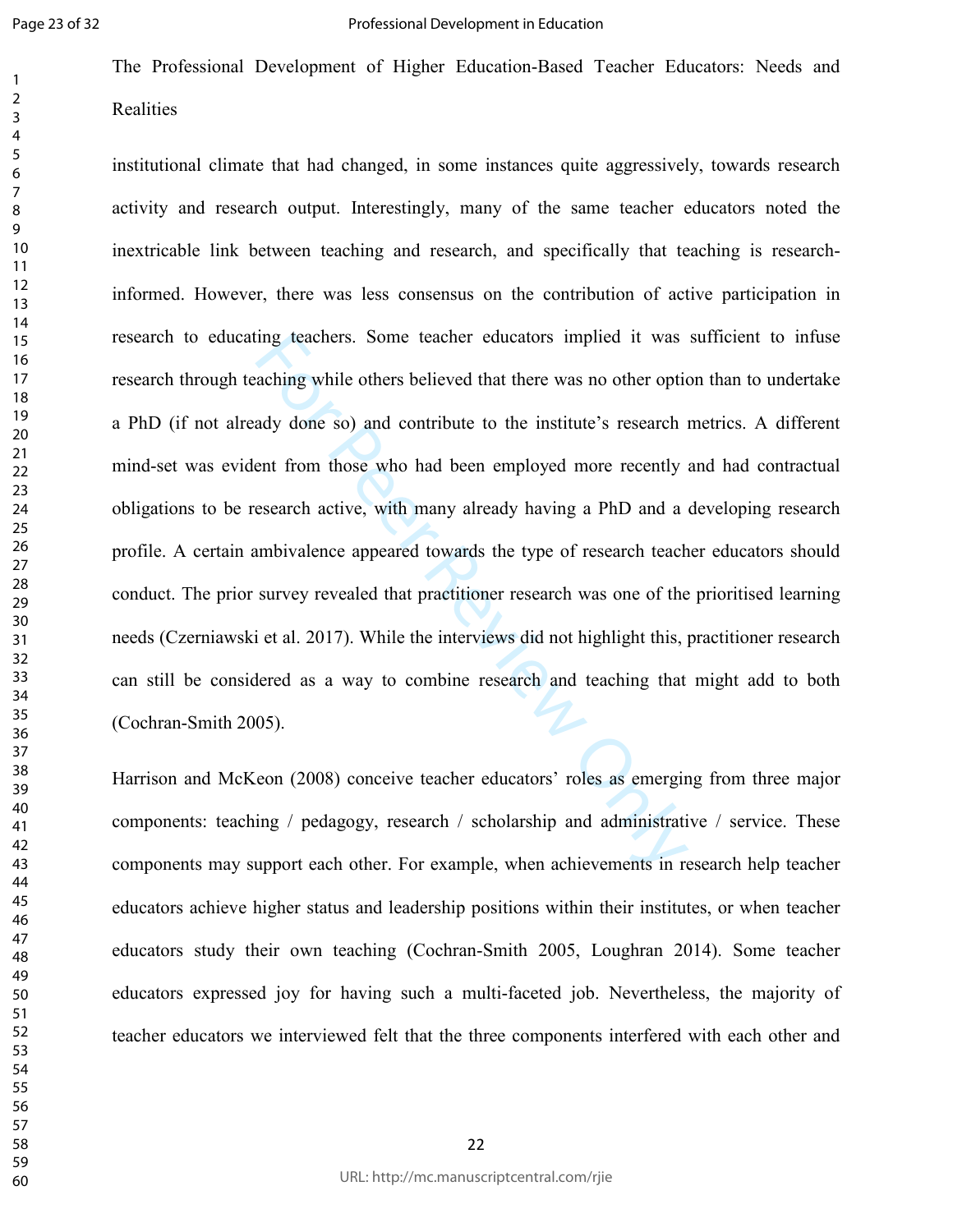The Professional Development of Higher Education-Based Teacher Educators: Needs and **Realities** 

ing teachers. Some teacher educators implied it was<br>aching while others believed that there was no other optic<br>ady done so) and contribute to the institute's research i<br>ent from those who had been employed more recently<br>se institutional climate that had changed, in some instances quite aggressively, towards research activity and research output. Interestingly, many of the same teacher educators noted the inextricable link between teaching and research, and specifically that teaching is researchinformed. However, there was less consensus on the contribution of active participation in research to educating teachers. Some teacher educators implied it was sufficient to infuse research through teaching while others believed that there was no other option than to undertake a PhD (if not already done so) and contribute to the institute's research metrics. A different mind-set was evident from those who had been employed more recently and had contractual obligations to be research active, with many already having a PhD and a developing research profile. A certain ambivalence appeared towards the type of research teacher educators should conduct. The prior survey revealed that practitioner research was one of the prioritised learning needs (Czerniawski et al. 2017). While the interviews did not highlight this, practitioner research can still be considered as a way to combine research and teaching that might add to both (Cochran-Smith 2005).

Harrison and McKeon (2008) conceive teacher educators' roles as emerging from three major components: teaching / pedagogy, research / scholarship and administrative / service. These components may support each other. For example, when achievements in research help teacher educators achieve higher status and leadership positions within their institutes, or when teacher educators study their own teaching (Cochran-Smith 2005, Loughran 2014). Some teacher educators expressed joy for having such a multi-faceted job. Nevertheless, the majority of teacher educators we interviewed felt that the three components interfered with each other and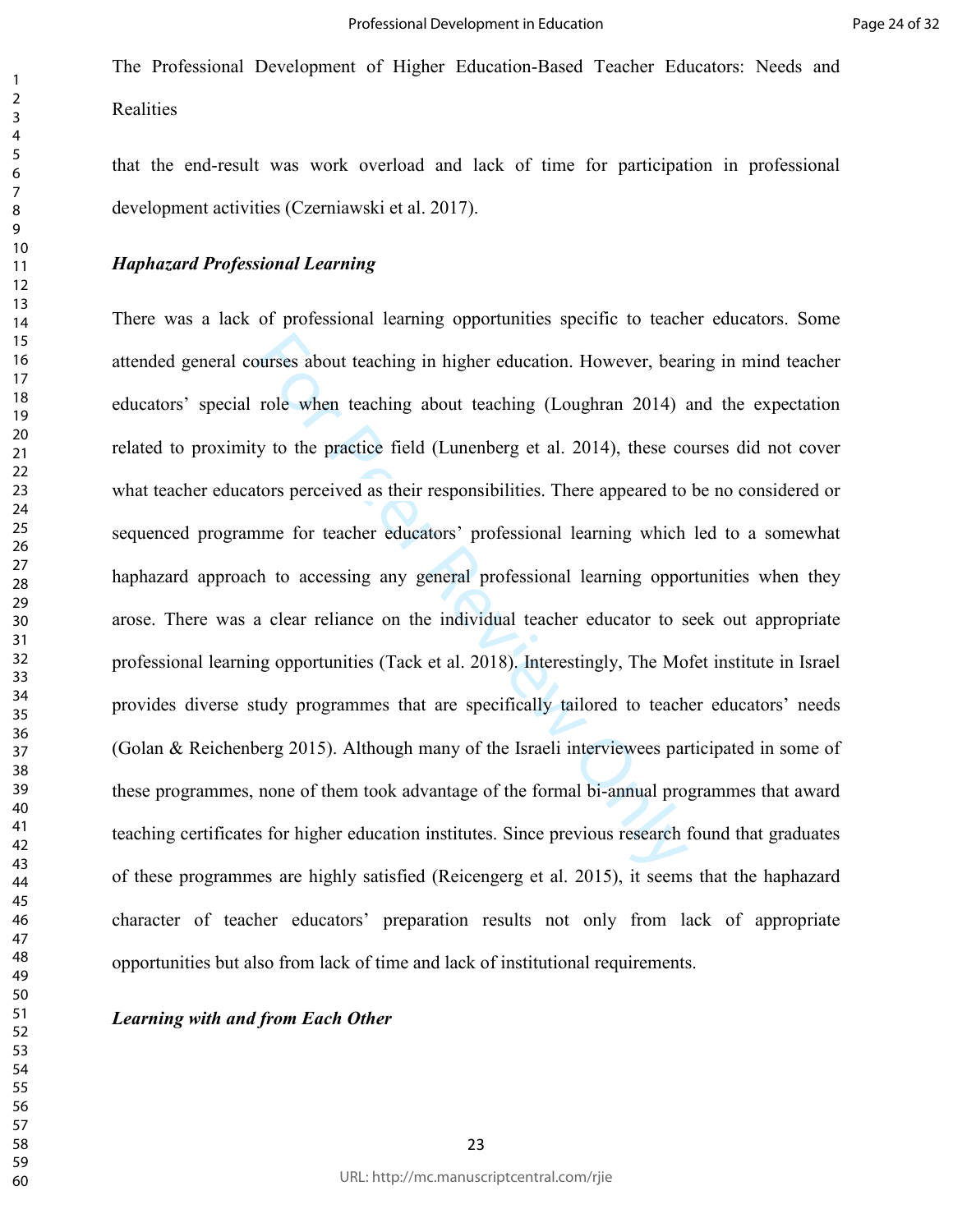that the end-result was work overload and lack of time for participation in professional development activities (Czerniawski et al. 2017).

### *Haphazard Professional Learning*

burses about teaching in higher education. However, bear<br>role when teaching about teaching (Loughran 2014) a<br>y to the practice field (Lunenberg et al. 2014), these co<br>tors perceived as their responsibilities. There appeare There was a lack of professional learning opportunities specific to teacher educators. Some attended general courses about teaching in higher education. However, bearing in mind teacher educators' special role when teaching about teaching (Loughran 2014) and the expectation related to proximity to the practice field (Lunenberg et al. 2014), these courses did not cover what teacher educators perceived as their responsibilities. There appeared to be no considered or sequenced programme for teacher educators' professional learning which led to a somewhat haphazard approach to accessing any general professional learning opportunities when they arose. There was a clear reliance on the individual teacher educator to seek out appropriate professional learning opportunities (Tack et al. 2018). Interestingly, The Mofet institute in Israel provides diverse study programmes that are specifically tailored to teacher educators' needs (Golan & Reichenberg 2015). Although many of the Israeli interviewees participated in some of these programmes, none of them took advantage of the formal bi-annual programmes that award teaching certificates for higher education institutes. Since previous research found that graduates of these programmes are highly satisfied (Reicengerg et al. 2015), it seems that the haphazard character of teacher educators' preparation results not only from lack of appropriate opportunities but also from lack of time and lack of institutional requirements.

*Learning with and from Each Other*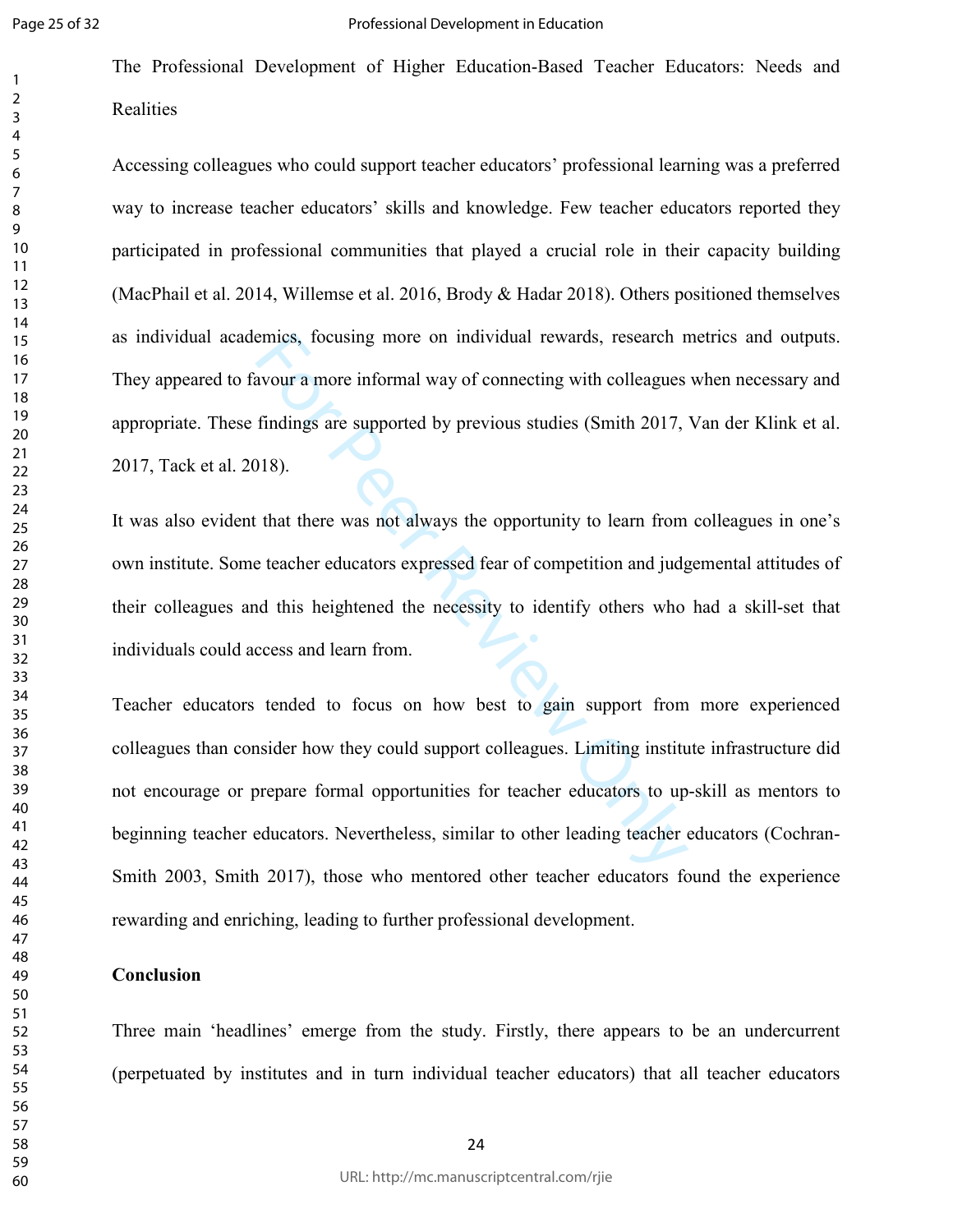The Professional Development of Higher Education-Based Teacher Educators: Needs and Realities

Accessing colleagues who could support teacher educators' professional learning was a preferred way to increase teacher educators' skills and knowledge. Few teacher educators reported they participated in professional communities that played a crucial role in their capacity building (MacPhail et al. 2014, Willemse et al. 2016, Brody & Hadar 2018). Others positioned themselves as individual academics, focusing more on individual rewards, research metrics and outputs. They appeared to favour a more informal way of connecting with colleagues when necessary and appropriate. These findings are supported by previous studies (Smith 2017, Van der Klink et al. 2017, Tack et al. 2018).

It was also evident that there was not always the opportunity to learn from colleagues in one's own institute. Some teacher educators expressed fear of competition and judgemental attitudes of their colleagues and this heightened the necessity to identify others who had a skill-set that individuals could access and learn from.

emics, focusing more on individual rewards, research in<br>avour a more informal way of connecting with colleagues<br>findings are supported by previous studies (Smith 2017,<br>118).<br>that there was not always the opportunity to lea Teacher educators tended to focus on how best to gain support from more experienced colleagues than consider how they could support colleagues. Limiting institute infrastructure did not encourage or prepare formal opportunities for teacher educators to up-skill as mentors to beginning teacher educators. Nevertheless, similar to other leading teacher educators (Cochran-Smith 2003, Smith 2017), those who mentored other teacher educators found the experience rewarding and enriching, leading to further professional development.

## **Conclusion**

Three main 'headlines' emerge from the study. Firstly, there appears to be an undercurrent (perpetuated by institutes and in turn individual teacher educators) that all teacher educators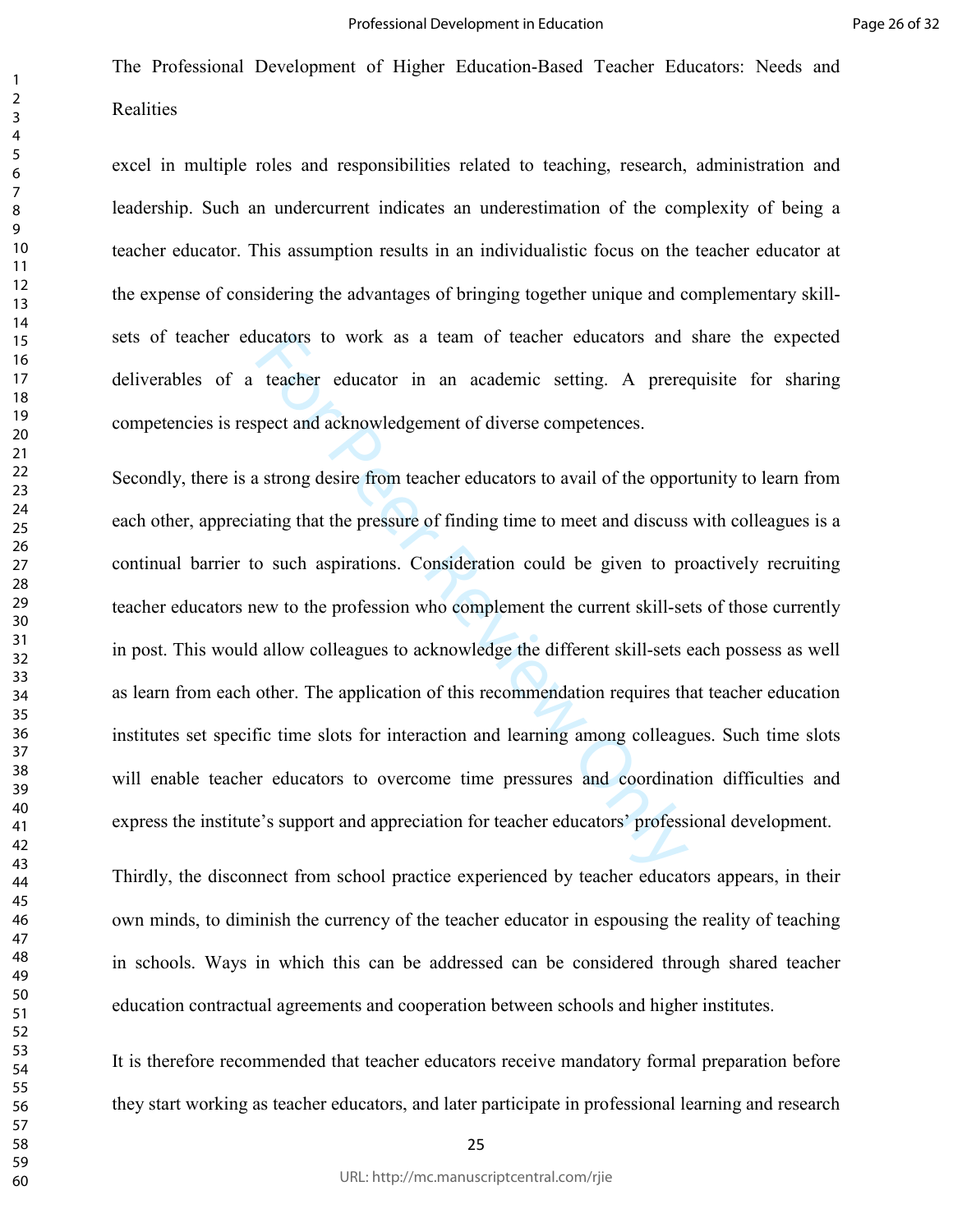excel in multiple roles and responsibilities related to teaching, research, administration and leadership. Such an undercurrent indicates an underestimation of the complexity of being a teacher educator. This assumption results in an individualistic focus on the teacher educator at the expense of considering the advantages of bringing together unique and complementary skillsets of teacher educators to work as a team of teacher educators and share the expected deliverables of a teacher educator in an academic setting. A prerequisite for sharing competencies is respect and acknowledgement of diverse competences.

lucators to work as a team of teacher educators and<br>teacher educator in an academic setting. A prere-<br>peet and acknowledgement of diverse competences.<br>a strong desire from teacher educators to avail of the oppor-<br>ating tha Secondly, there is a strong desire from teacher educators to avail of the opportunity to learn from each other, appreciating that the pressure of finding time to meet and discuss with colleagues is a continual barrier to such aspirations. Consideration could be given to proactively recruiting teacher educators new to the profession who complement the current skill-sets of those currently in post. This would allow colleagues to acknowledge the different skill-sets each possess as well as learn from each other. The application of this recommendation requires that teacher education institutes set specific time slots for interaction and learning among colleagues. Such time slots will enable teacher educators to overcome time pressures and coordination difficulties and express the institute's support and appreciation for teacher educators' professional development.

Thirdly, the disconnect from school practice experienced by teacher educators appears, in their own minds, to diminish the currency of the teacher educator in espousing the reality of teaching in schools. Ways in which this can be addressed can be considered through shared teacher education contractual agreements and cooperation between schools and higher institutes.

It is therefore recommended that teacher educators receive mandatory formal preparation before they start working as teacher educators, and later participate in professional learning and research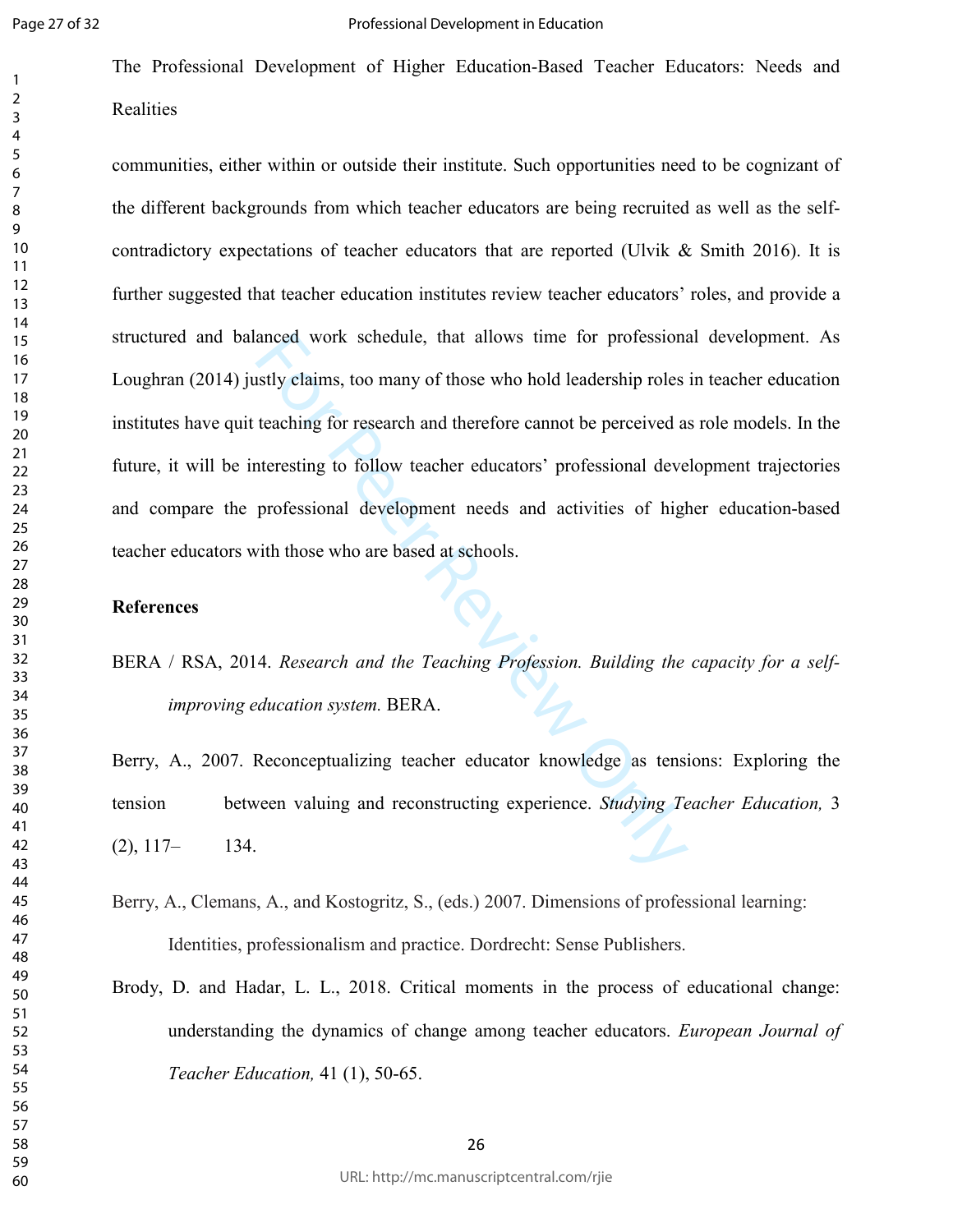The Professional Development of Higher Education-Based Teacher Educators: Needs and **Realities** 

anced work schedule, that allows time for professional<br>stly claims, too many of those who hold leadership roles<br>teaching for research and therefore cannot be perceived at<br>atteresting to follow teacher educators' profession communities, either within or outside their institute. Such opportunities need to be cognizant of the different backgrounds from which teacher educators are being recruited as well as the selfcontradictory expectations of teacher educators that are reported (Ulvik & Smith 2016). It is further suggested that teacher education institutes review teacher educators' roles, and provide a structured and balanced work schedule, that allows time for professional development. As Loughran (2014) justly claims, too many of those who hold leadership roles in teacher education institutes have quit teaching for research and therefore cannot be perceived as role models. In the future, it will be interesting to follow teacher educators' professional development trajectories and compare the professional development needs and activities of higher education-based teacher educators with those who are based at schools.

## **References**

BERA / RSA, 2014. *Research and the Teaching Profession. Building the capacity for a self improving education system.* BERA.

Berry, A., 2007. Reconceptualizing teacher educator knowledge as tensions: Exploring the tension between valuing and reconstructing experience. *Studying Teacher Education,* 3  $(2), 117 - 134.$ 

- Berry, A., Clemans, A., and Kostogritz, S., (eds.) 2007. Dimensions of professional learning: Identities, professionalism and practice. Dordrecht: Sense Publishers.
- Brody, D. and Hadar, L. L., 2018. Critical moments in the process of educational change: understanding the dynamics of change among teacher educators. *European Journal of Teacher Education,* 41 (1), 50-65.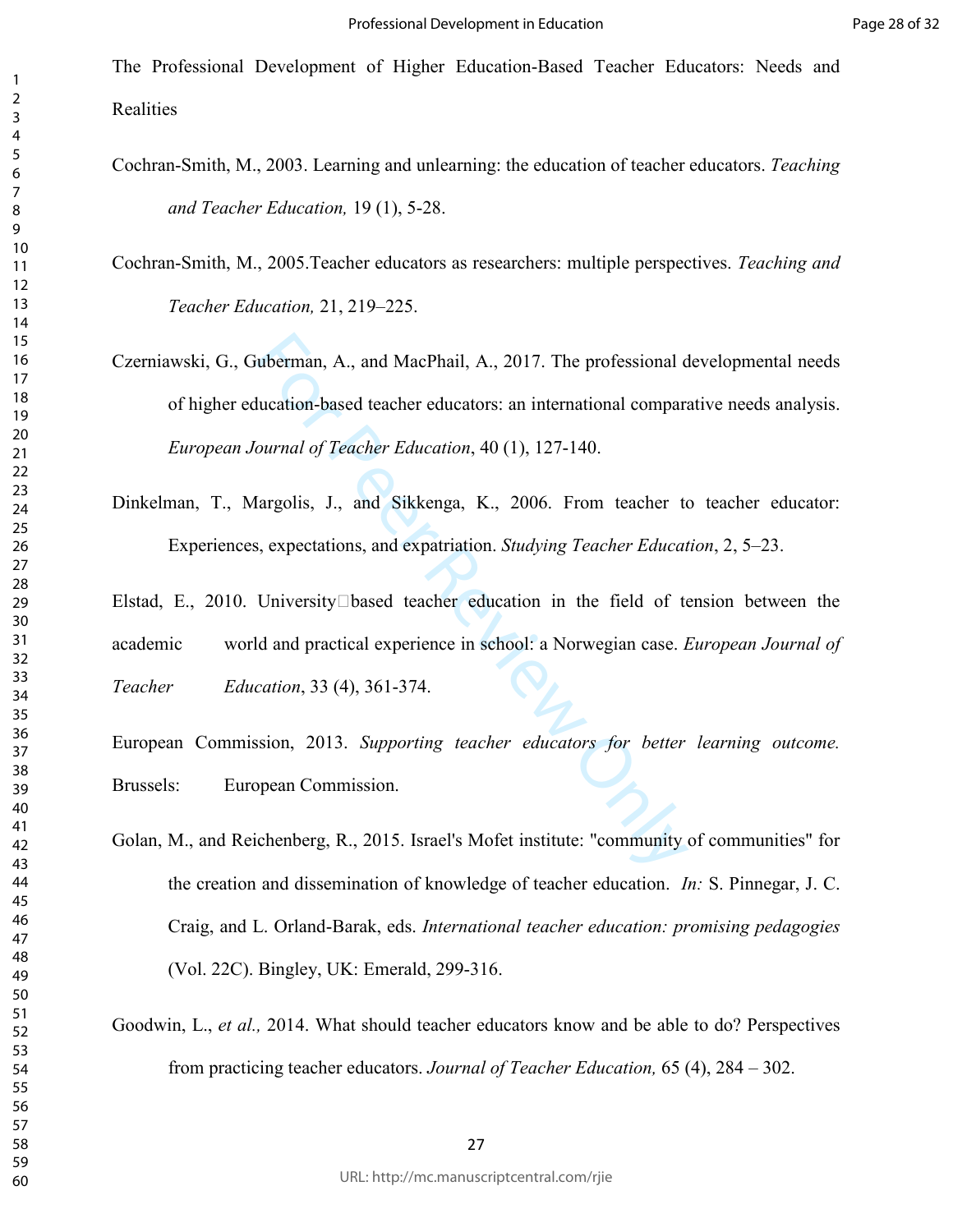- Cochran-Smith, M., 2003. Learning and unlearning: the education of teacher educators. *Teaching and Teacher Education,* 19 (1), 5-28.
- Cochran-Smith, M., 2005.Teacher educators as researchers: multiple perspectives. *Teaching and Teacher Education,* 21, 219–225.
- uberman, A., and MacPhail, A., 2017. The professional ducation-based teacher educators: an international comparation-based teacher education, 40 (1), 127-140.<br>
Iargolis, J., and Sikkenga, K., 2006. From teacher to a sexpec Czerniawski, G., Guberman, A., and MacPhail, A., 2017. The professional developmental needs of higher education-based teacher educators: an international comparative needs analysis. *European Journal of Teacher Education*, 40 (1), 127-140.
- Dinkelman, T., Margolis, J., and Sikkenga, K., 2006. From teacher to teacher educator: Experiences, expectations, and expatriation. *Studying Teacher Education*, 2, 5–23.
- Elstad, E., 2010. UniversityPbased teacher education in the field of tension between the academic world and practical experience in school: a Norwegian case. *European Journal of Teacher Education*, 33 (4), 361-374.
- European Commission, 2013. *Supporting teacher educators for better learning outcome.* Brussels: European Commission.
- Golan, M., and Reichenberg, R., 2015. Israel's Mofet institute: "community of communities" for the creation and dissemination of knowledge of teacher education. *In:* S. Pinnegar, J. C. Craig, and L. Orland-Barak, eds. *International teacher education: promising pedagogies* (Vol. 22C). Bingley, UK: Emerald, 299-316.
- Goodwin, L., *et al.,* 2014. What should teacher educators know and be able to do? Perspectives from practicing teacher educators. *Journal of Teacher Education,* 65 (4), 284 – 302.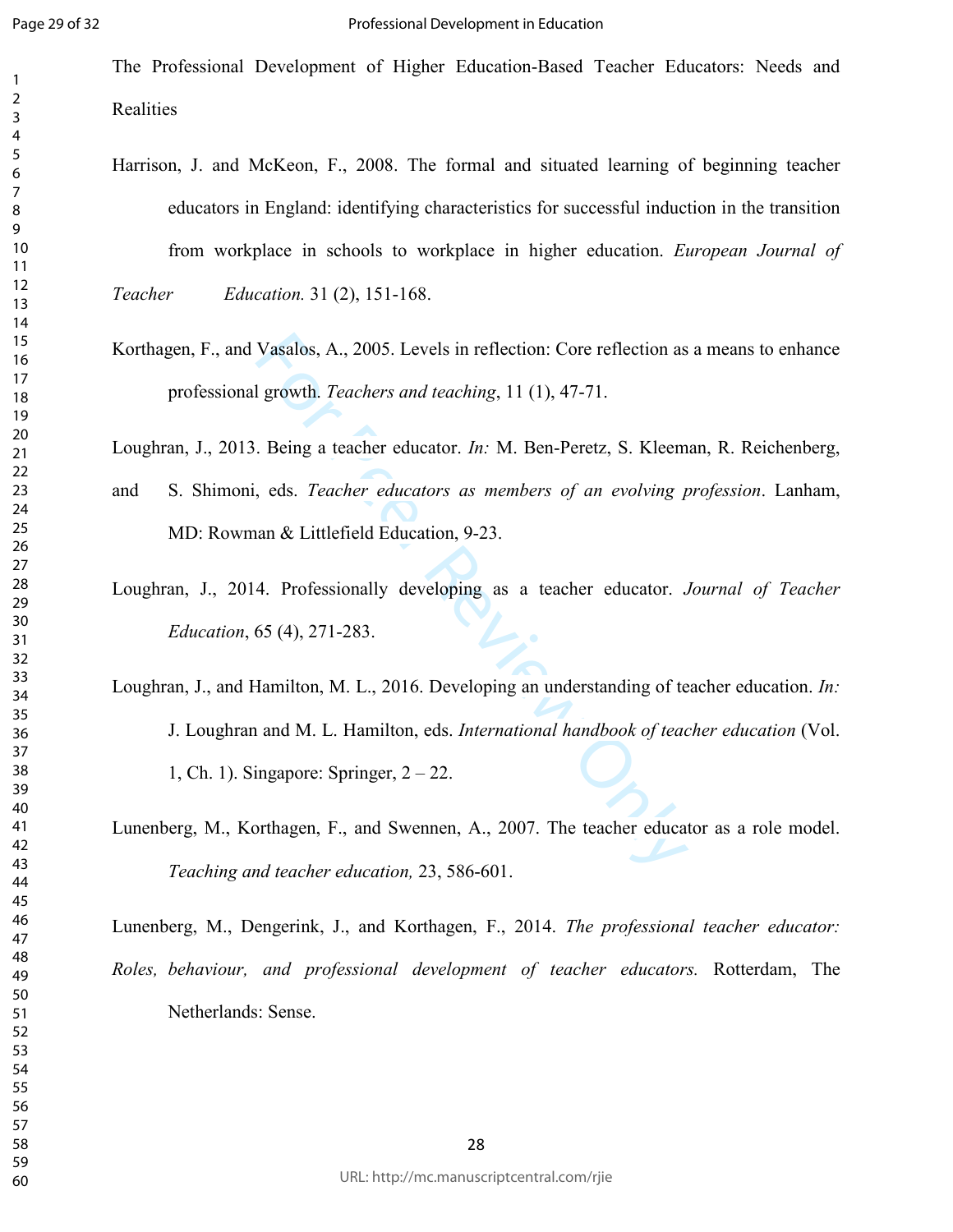The Professional Development of Higher Education-Based Teacher Educators: Needs and Realities

Harrison, J. and McKeon, F., 2008. The formal and situated learning of beginning teacher educators in England: identifying characteristics for successful induction in the transition from workplace in schools to workplace in higher education. *European Journal of* 

*Teacher Education.* 31 (2), 151-168.

Korthagen, F., and Vasalos, A., 2005. Levels in reflection: Core reflection as a means to enhance professional growth. *Teachers and teaching*, 11 (1), 47-71.

Loughran, J., 2013. Being a teacher educator. *In:* M. Ben-Peretz, S. Kleeman, R. Reichenberg,

- and S. Shimoni, eds. *Teacher educators as members of an evolving profession*. Lanham, MD: Rowman & Littlefield Education, 9-23.
- Loughran, J., 2014. Professionally developing as a teacher educator. *Journal of Teacher Education*, 65 (4), 271-283.
- Vasalos, A., 2005. Levels in reflection: Core reflection as<br>
1 growth. *Teachers and teaching*, 11 (1), 47-71.<br>
. Being a teacher educator. *In:* M. Ben-Peretz, S. Kleem<br>
, eds. *Teacher educators as members of an evolvin* Loughran, J., and Hamilton, M. L., 2016. Developing an understanding of teacher education. *In:* J. Loughran and M. L. Hamilton, eds. *International handbook of teacher education* (Vol. 1, Ch. 1). Singapore: Springer, 2 – 22.
- Lunenberg, M., Korthagen, F., and Swennen, A., 2007. The teacher educator as a role model. *Teaching and teacher education,* 23, 586-601.

Lunenberg, M., Dengerink, J., and Korthagen, F., 2014. *The professional teacher educator: Roles, behaviour, and professional development of teacher educators.* Rotterdam, The Netherlands: Sense.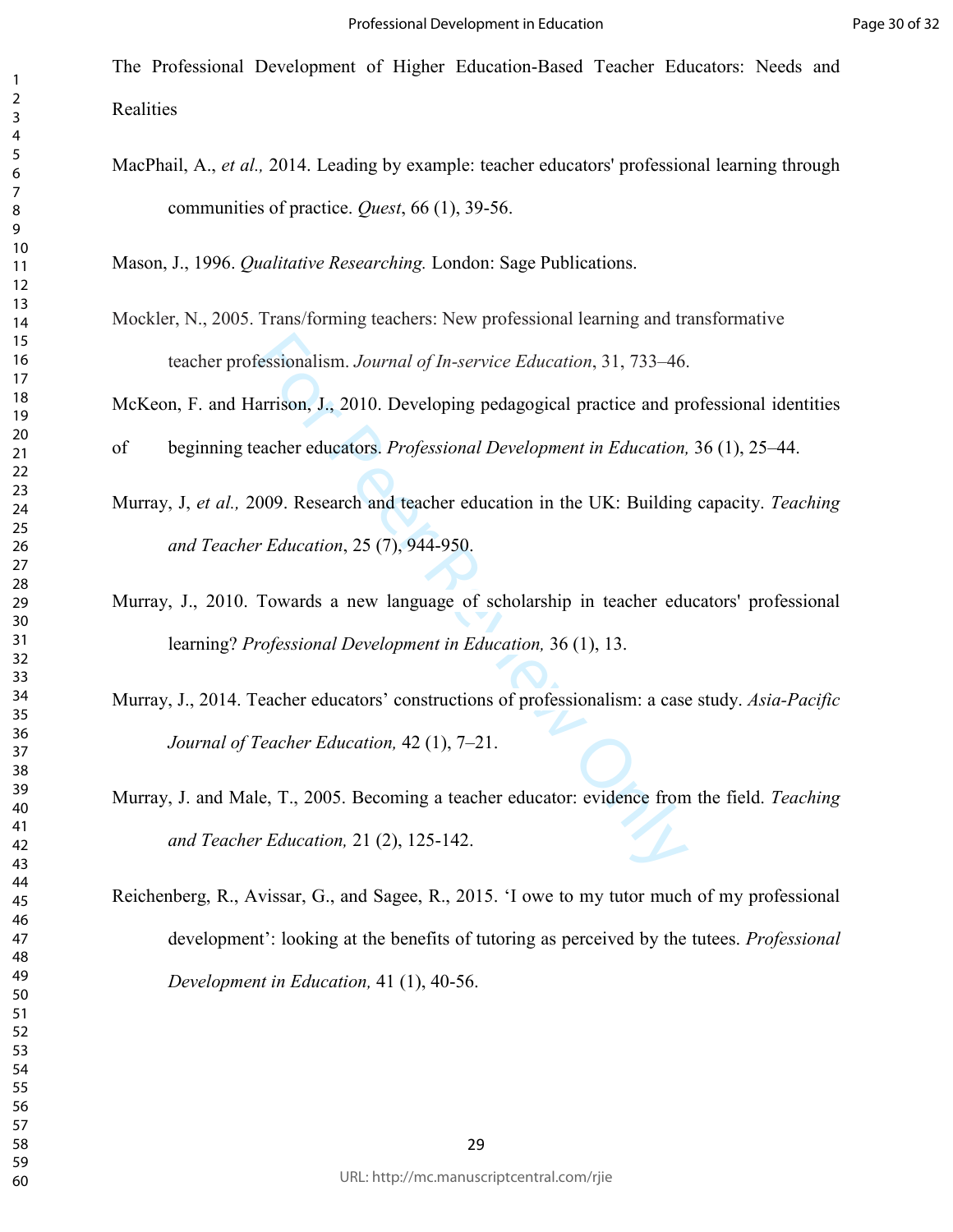The Professional Development of Higher Education-Based Teacher Educators: Needs and **Realities** 

MacPhail, A., *et al.,* 2014. Leading by example: teacher educators' professional learning through communities of practice. *Quest*, 66 (1), 39-56.

Mason, J., 1996. *Qualitative Researching.* London: Sage Publications.

Mockler, N., 2005. Trans/forming teachers: New professional learning and transformative teacher professionalism. *Journal of In-service Education*, 31, 733–46.

McKeon, F. and Harrison, J., 2010. Developing pedagogical practice and professional identities

of beginning teacher educators. *Professional Development in Education,* 36 (1), 25–44.

- Murray, J, *et al.,* 2009. Research and teacher education in the UK: Building capacity. *Teaching and Teacher Education*, 25 (7), 944-950.
- Murray, J., 2010. Towards a new language of scholarship in teacher educators' professional learning? *Professional Development in Education,* 36 (1), 13.
- Fessionalism. *Journal of In-service Education*, 31, 733-46.<br>arrison, J., 2010. Developing pedagogical practice and pr<br>acher educators. *Professional Development in Education*,<br>009. Research and teacher education in the UK Murray, J., 2014. Teacher educators' constructions of professionalism: a case study. *Asia-Pacific Journal of Teacher Education,* 42 (1), 7–21.
- Murray, J. and Male, T., 2005. Becoming a teacher educator: evidence from the field. *Teaching and Teacher Education,* 21 (2), 125-142.
- Reichenberg, R., Avissar, G., and Sagee, R., 2015. 'I owe to my tutor much of my professional development': looking at the benefits of tutoring as perceived by the tutees. *Professional Development in Education,* 41 (1), 40-56.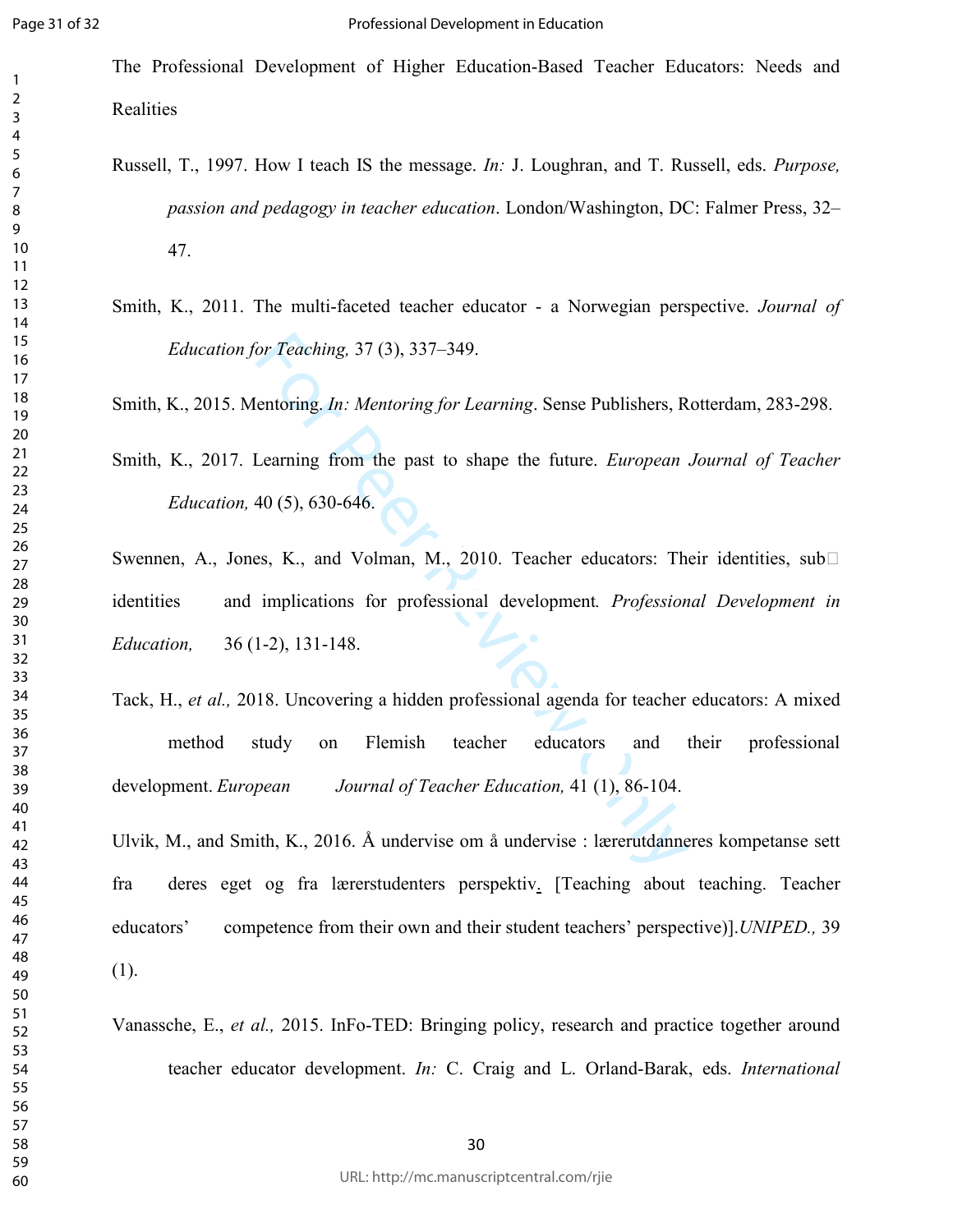The Professional Development of Higher Education-Based Teacher Educators: Needs and Realities

- Russell, T., 1997. How I teach IS the message. *In:* J. Loughran, and T. Russell, eds. *Purpose, passion and pedagogy in teacher education*. London/Washington, DC: Falmer Press, 32– 47.
- Smith, K., 2011. The multi-faceted teacher educator a Norwegian perspective. *Journal of Education for Teaching,* 37 (3), 337–349.

Smith, K., 2015. Mentoring. *In: Mentoring for Learning*. Sense Publishers, Rotterdam, 283-298.

Smith, K., 2017. Learning from the past to shape the future. *European Journal of Teacher Education,* 40 (5), 630-646.

Swennen, A., Jones, K., and Volman, M., 2010. Teacher educators: Their identities, subP identities and implications for professional development*. Professional Development in Education,* 36 (1-2), 131-148.

For Teaching, 37 (3), 337–349.<br>
Entoring. *In: Mentoring for Learning.* Sense Publishers, R<br>
Learning from the past to shape the future. *European*<br>
40 (5), 630-646.<br>
Es, K., and Volman, M., 2010. Teacher educators: The im Tack, H., *et al.,* 2018. Uncovering a hidden professional agenda for teacher educators: A mixed method study on Flemish teacher educators and their professional development. *European Journal of Teacher Education,* 41 (1), 86-104.

Ulvik, M., and Smith, K., 2016. Å undervise om å undervise : lærerutdanneres kompetanse sett fra deres eget og fra lærerstudenters perspektiv. [Teaching about teaching. Teacher educators' competence from their own and their student teachers' perspective)].*UNIPED.,* 39 (1).

Vanassche, E., *et al.,* 2015. InFo-TED: Bringing policy, research and practice together around teacher educator development. *In:* C. Craig and L. Orland-Barak, eds. *International*